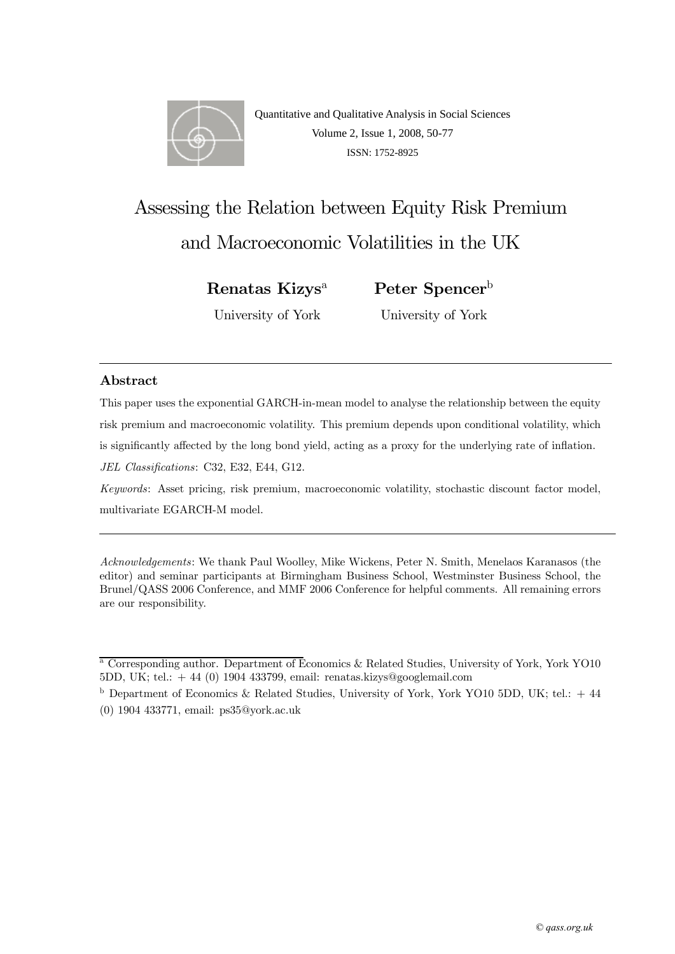

Quantitative and Qualitative Analysis in Social Sciences Volume 2, Issue 1, 2008, 50-77 ISSN: 1752-8925

# Assessing the Relation between Equity Risk Premium and Macroeconomic Volatilities in the UK

Renatas Kizys<sup>a</sup>

Peter Spencer<sup>b</sup>

University of York

University of York

#### Abstract

This paper uses the exponential GARCH-in-mean model to analyse the relationship between the equity risk premium and macroeconomic volatility. This premium depends upon conditional volatility, which is significantly affected by the long bond yield, acting as a proxy for the underlying rate of inflation. JEL Classifications: C32, E32, E44, G12.

Keywords: Asset pricing, risk premium, macroeconomic volatility, stochastic discount factor model, multivariate EGARCH-M model.

Acknowledgements: We thank Paul Woolley, Mike Wickens, Peter N. Smith, Menelaos Karanasos (the editor) and seminar participants at Birmingham Business School, Westminster Business School, the Brunel/QASS 2006 Conference, and MMF 2006 Conference for helpful comments. All remaining errors are our responsibility.

<sup>&</sup>lt;sup>a</sup> Corresponding author. Department of Economics & Related Studies, University of York, York YO10 5DD, UK; tel.: + 44 (0) 1904 433799, email: renatas.kizys@googlemail.com

<sup>&</sup>lt;sup>b</sup> Department of Economics & Related Studies, University of York, York YO10 5DD, UK; tel.:  $+44$ (0) 1904 433771, email: ps35@york.ac.uk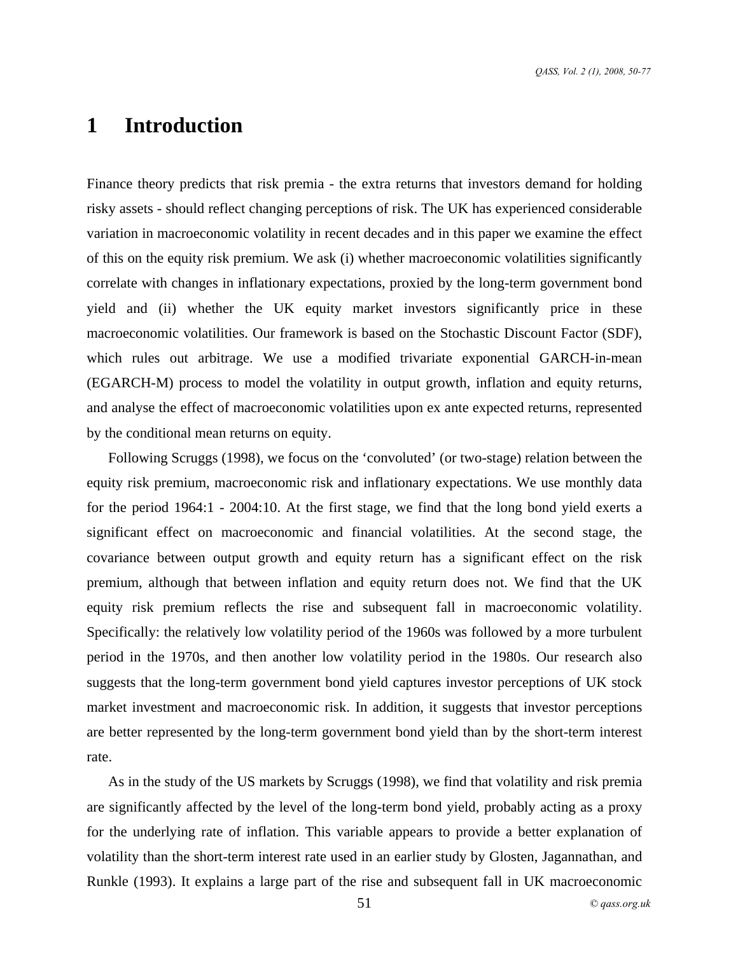## **1 Introduction**

Finance theory predicts that risk premia - the extra returns that investors demand for holding risky assets - should reflect changing perceptions of risk. The UK has experienced considerable variation in macroeconomic volatility in recent decades and in this paper we examine the effect of this on the equity risk premium. We ask (i) whether macroeconomic volatilities significantly correlate with changes in inflationary expectations, proxied by the long-term government bond yield and (ii) whether the UK equity market investors significantly price in these macroeconomic volatilities. Our framework is based on the Stochastic Discount Factor (SDF), which rules out arbitrage. We use a modified trivariate exponential GARCH-in-mean (EGARCH-M) process to model the volatility in output growth, inflation and equity returns, and analyse the effect of macroeconomic volatilities upon ex ante expected returns, represented by the conditional mean returns on equity.

Following Scruggs (1998), we focus on the 'convoluted' (or two-stage) relation between the equity risk premium, macroeconomic risk and inflationary expectations. We use monthly data for the period 1964:1 - 2004:10. At the first stage, we find that the long bond yield exerts a significant effect on macroeconomic and financial volatilities. At the second stage, the covariance between output growth and equity return has a significant effect on the risk premium, although that between inflation and equity return does not. We find that the UK equity risk premium reflects the rise and subsequent fall in macroeconomic volatility. Specifically: the relatively low volatility period of the 1960s was followed by a more turbulent period in the 1970s, and then another low volatility period in the 1980s. Our research also suggests that the long-term government bond yield captures investor perceptions of UK stock market investment and macroeconomic risk. In addition, it suggests that investor perceptions are better represented by the long-term government bond yield than by the short-term interest rate.

As in the study of the US markets by Scruggs (1998), we find that volatility and risk premia are significantly affected by the level of the long-term bond yield, probably acting as a proxy for the underlying rate of inflation. This variable appears to provide a better explanation of volatility than the short-term interest rate used in an earlier study by Glosten, Jagannathan, and Runkle (1993). It explains a large part of the rise and subsequent fall in UK macroeconomic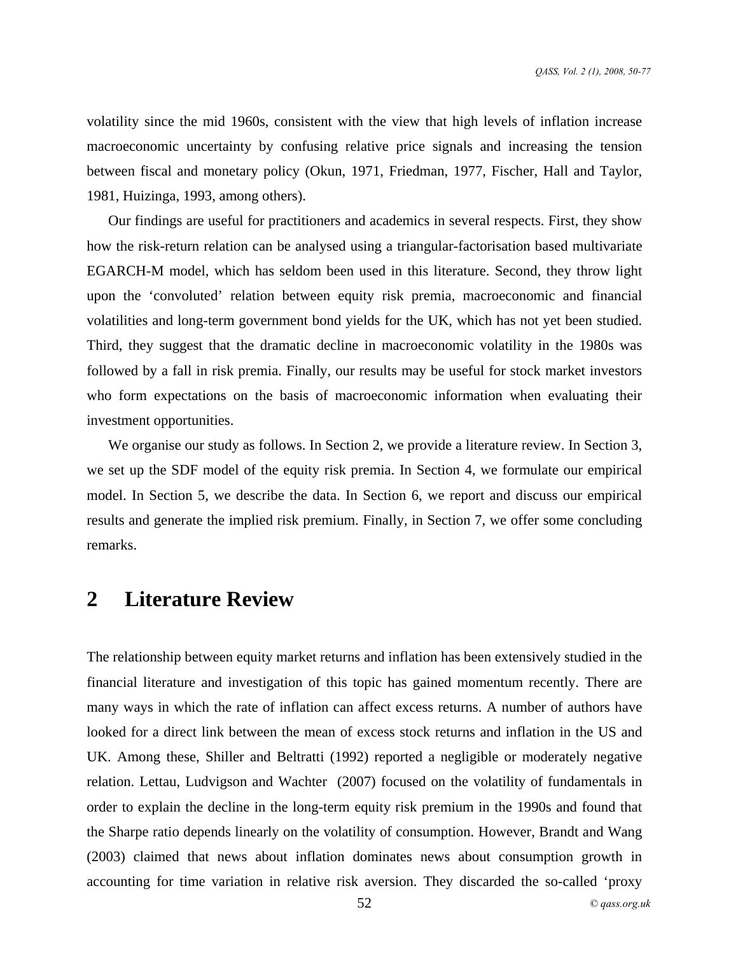volatility since the mid 1960s, consistent with the view that high levels of inflation increase macroeconomic uncertainty by confusing relative price signals and increasing the tension between fiscal and monetary policy (Okun, 1971, Friedman, 1977, Fischer, Hall and Taylor, 1981, Huizinga, 1993, among others).

Our findings are useful for practitioners and academics in several respects. First, they show how the risk-return relation can be analysed using a triangular-factorisation based multivariate EGARCH-M model, which has seldom been used in this literature. Second, they throw light upon the 'convoluted' relation between equity risk premia, macroeconomic and financial volatilities and long-term government bond yields for the UK, which has not yet been studied. Third, they suggest that the dramatic decline in macroeconomic volatility in the 1980s was followed by a fall in risk premia. Finally, our results may be useful for stock market investors who form expectations on the basis of macroeconomic information when evaluating their investment opportunities.

We organise our study as follows. In Section 2, we provide a literature review. In Section 3, we set up the SDF model of the equity risk premia. In Section 4, we formulate our empirical model. In Section 5, we describe the data. In Section 6, we report and discuss our empirical results and generate the implied risk premium. Finally, in Section 7, we offer some concluding remarks.

## **2 Literature Review**

The relationship between equity market returns and inflation has been extensively studied in the financial literature and investigation of this topic has gained momentum recently. There are many ways in which the rate of inflation can affect excess returns. A number of authors have looked for a direct link between the mean of excess stock returns and inflation in the US and UK. Among these, Shiller and Beltratti (1992) reported a negligible or moderately negative relation. Lettau, Ludvigson and Wachter (2007) focused on the volatility of fundamentals in order to explain the decline in the long-term equity risk premium in the 1990s and found that the Sharpe ratio depends linearly on the volatility of consumption. However, Brandt and Wang (2003) claimed that news about inflation dominates news about consumption growth in accounting for time variation in relative risk aversion. They discarded the so-called 'proxy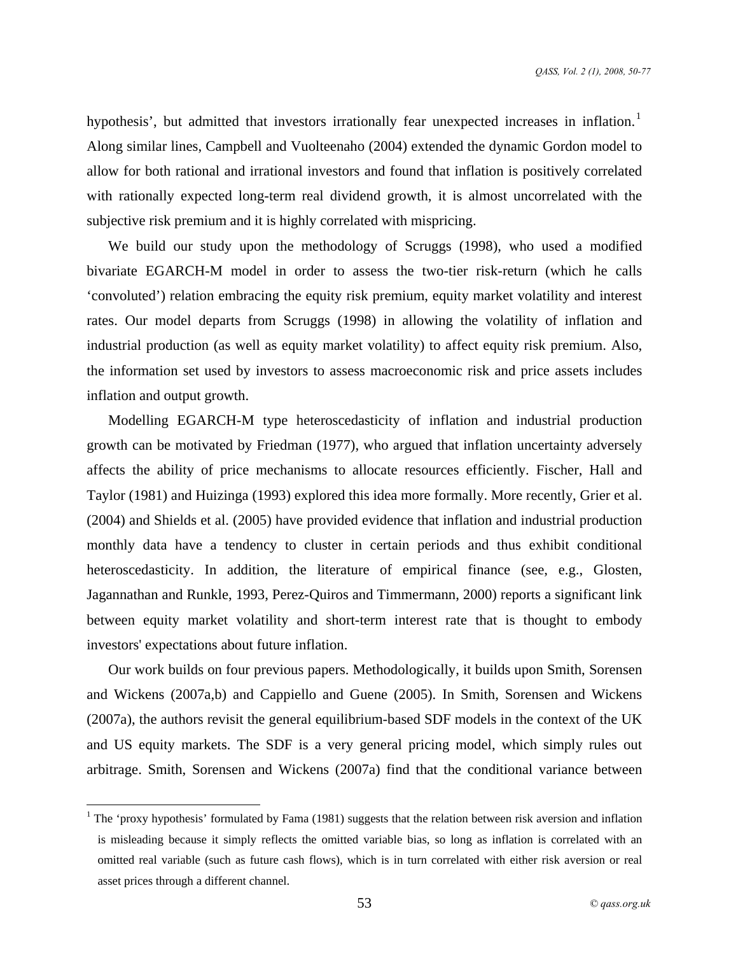hypothesis', but admitted that investors irrationally fear unexpected increases in inflation.<sup>[1](#page-3-0)</sup> Along similar lines, Campbell and Vuolteenaho (2004) extended the dynamic Gordon model to allow for both rational and irrational investors and found that inflation is positively correlated with rationally expected long-term real dividend growth, it is almost uncorrelated with the subjective risk premium and it is highly correlated with mispricing.

We build our study upon the methodology of Scruggs (1998), who used a modified bivariate EGARCH-M model in order to assess the two-tier risk-return (which he calls 'convoluted') relation embracing the equity risk premium, equity market volatility and interest rates. Our model departs from Scruggs (1998) in allowing the volatility of inflation and industrial production (as well as equity market volatility) to affect equity risk premium. Also, the information set used by investors to assess macroeconomic risk and price assets includes inflation and output growth.

Modelling EGARCH-M type heteroscedasticity of inflation and industrial production growth can be motivated by Friedman (1977), who argued that inflation uncertainty adversely affects the ability of price mechanisms to allocate resources efficiently. Fischer, Hall and Taylor (1981) and Huizinga (1993) explored this idea more formally. More recently, Grier et al. (2004) and Shields et al. (2005) have provided evidence that inflation and industrial production monthly data have a tendency to cluster in certain periods and thus exhibit conditional heteroscedasticity. In addition, the literature of empirical finance (see, e.g., Glosten, Jagannathan and Runkle, 1993, Perez-Quiros and Timmermann, 2000) reports a significant link between equity market volatility and short-term interest rate that is thought to embody investors' expectations about future inflation.

Our work builds on four previous papers. Methodologically, it builds upon Smith, Sorensen and Wickens (2007a,b) and Cappiello and Guene (2005). In Smith, Sorensen and Wickens (2007a), the authors revisit the general equilibrium-based SDF models in the context of the UK and US equity markets. The SDF is a very general pricing model, which simply rules out arbitrage. Smith, Sorensen and Wickens (2007a) find that the conditional variance between

 $\overline{a}$ 

<span id="page-3-0"></span><sup>&</sup>lt;sup>1</sup> The 'proxy hypothesis' formulated by Fama (1981) suggests that the relation between risk aversion and inflation is misleading because it simply reflects the omitted variable bias, so long as inflation is correlated with an omitted real variable (such as future cash flows), which is in turn correlated with either risk aversion or real asset prices through a different channel.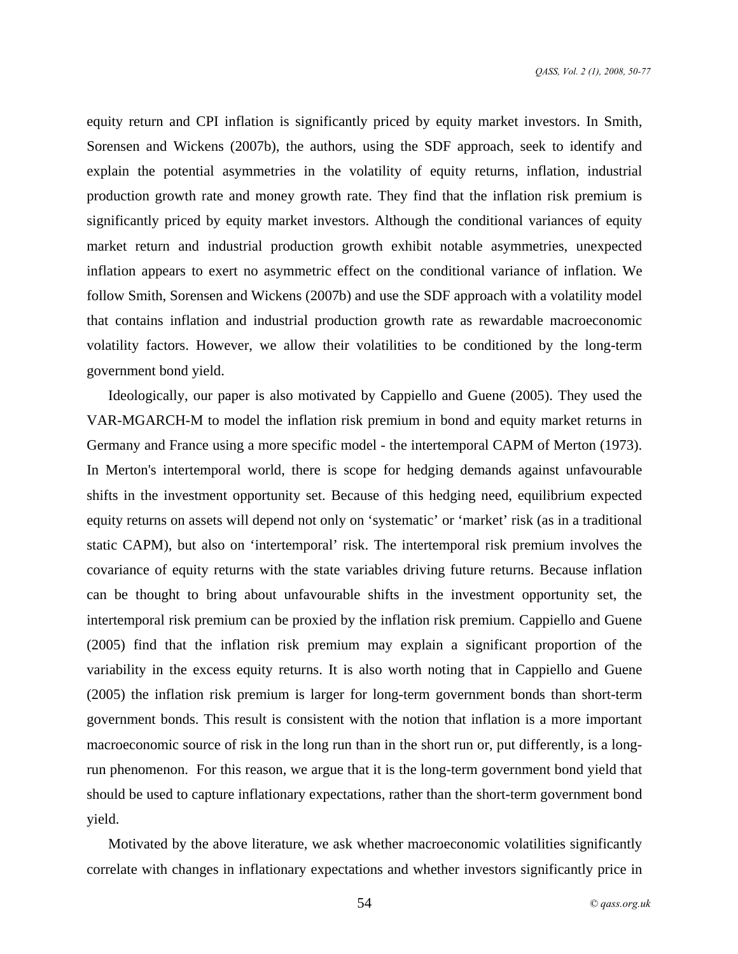equity return and CPI inflation is significantly priced by equity market investors. In Smith, Sorensen and Wickens (2007b), the authors, using the SDF approach, seek to identify and explain the potential asymmetries in the volatility of equity returns, inflation, industrial production growth rate and money growth rate. They find that the inflation risk premium is significantly priced by equity market investors. Although the conditional variances of equity market return and industrial production growth exhibit notable asymmetries, unexpected inflation appears to exert no asymmetric effect on the conditional variance of inflation. We follow Smith, Sorensen and Wickens (2007b) and use the SDF approach with a volatility model that contains inflation and industrial production growth rate as rewardable macroeconomic volatility factors. However, we allow their volatilities to be conditioned by the long-term government bond yield.

Ideologically, our paper is also motivated by Cappiello and Guene (2005). They used the VAR-MGARCH-M to model the inflation risk premium in bond and equity market returns in Germany and France using a more specific model - the intertemporal CAPM of Merton (1973). In Merton's intertemporal world, there is scope for hedging demands against unfavourable shifts in the investment opportunity set. Because of this hedging need, equilibrium expected equity returns on assets will depend not only on 'systematic' or 'market' risk (as in a traditional static CAPM), but also on 'intertemporal' risk. The intertemporal risk premium involves the covariance of equity returns with the state variables driving future returns. Because inflation can be thought to bring about unfavourable shifts in the investment opportunity set, the intertemporal risk premium can be proxied by the inflation risk premium. Cappiello and Guene (2005) find that the inflation risk premium may explain a significant proportion of the variability in the excess equity returns. It is also worth noting that in Cappiello and Guene (2005) the inflation risk premium is larger for long-term government bonds than short-term government bonds. This result is consistent with the notion that inflation is a more important macroeconomic source of risk in the long run than in the short run or, put differently, is a longrun phenomenon. For this reason, we argue that it is the long-term government bond yield that should be used to capture inflationary expectations, rather than the short-term government bond yield.

Motivated by the above literature, we ask whether macroeconomic volatilities significantly correlate with changes in inflationary expectations and whether investors significantly price in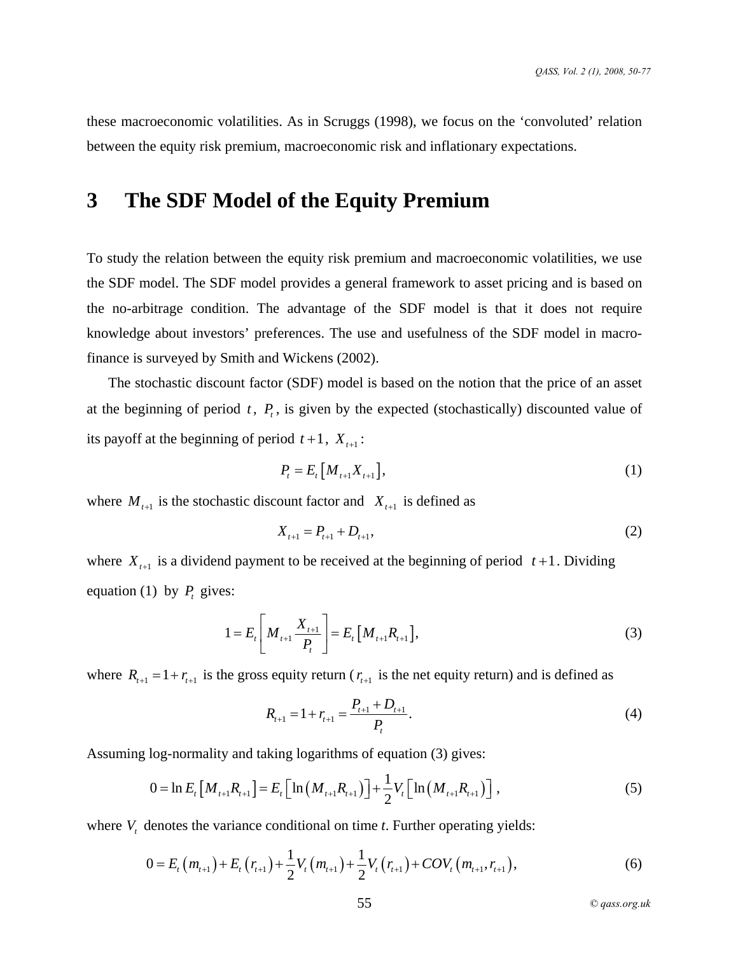these macroeconomic volatilities. As in Scruggs (1998), we focus on the 'convoluted' relation between the equity risk premium, macroeconomic risk and inflationary expectations.

# **3 The SDF Model of the Equity Premium**

To study the relation between the equity risk premium and macroeconomic volatilities, we use the SDF model. The SDF model provides a general framework to asset pricing and is based on the no-arbitrage condition. The advantage of the SDF model is that it does not require knowledge about investors' preferences. The use and usefulness of the SDF model in macrofinance is surveyed by Smith and Wickens (2002).

The stochastic discount factor (SDF) model is based on the notion that the price of an asset at the beginning of period  $t$ ,  $P_t$ , is given by the expected (stochastically) discounted value of its payoff at the beginning of period  $t+1$ ,  $X_{t+1}$ :

$$
P_{t} = E_{t} \left[ M_{t+1} X_{t+1} \right], \tag{1}
$$

where  $M_{t+1}$  is the stochastic discount factor and  $X_{t+1}$  is defined as

$$
X_{t+1} = P_{t+1} + D_{t+1},\tag{2}
$$

where  $X_{t+1}$  is a dividend payment to be received at the beginning of period  $t+1$ . Dividing equation (1) by  $P_t$  gives:

$$
1 = E_t \left[ M_{t+1} \frac{X_{t+1}}{P_t} \right] = E_t \left[ M_{t+1} R_{t+1} \right], \tag{3}
$$

where  $R_{t+1} = 1 + r_{t+1}$  is the gross equity return ( $r_{t+1}$  is the net equity return) and is defined as

$$
R_{t+1} = 1 + r_{t+1} = \frac{P_{t+1} + D_{t+1}}{P_t}.
$$
\n<sup>(4)</sup>

Assuming log-normality and taking logarithms of equation (3) gives:

$$
0 = \ln E_t \left[ M_{t+1} R_{t+1} \right] = E_t \left[ \ln \left( M_{t+1} R_{t+1} \right) \right] + \frac{1}{2} V_t \left[ \ln \left( M_{t+1} R_{t+1} \right) \right], \tag{5}
$$

where  $V_t$  denotes the variance conditional on time  $t$ . Further operating yields:

$$
0 = E_t(m_{t+1}) + E_t(r_{t+1}) + \frac{1}{2}V_t(m_{t+1}) + \frac{1}{2}V_t(r_{t+1}) + COV_t(m_{t+1}, r_{t+1}),
$$
\n(6)

*© qass.org.uk*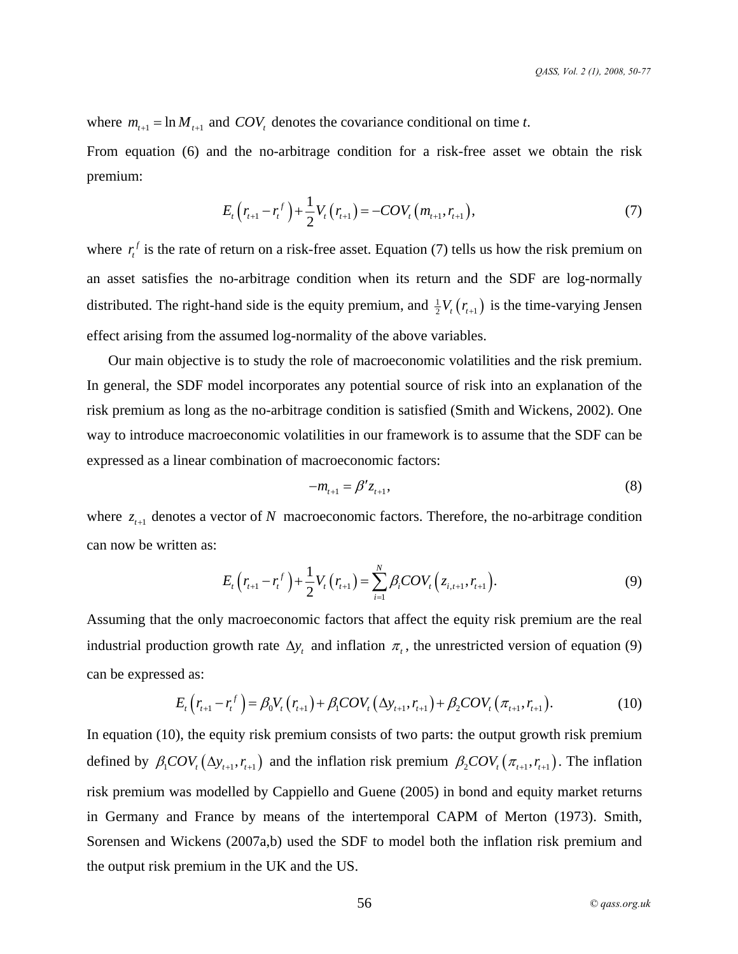where  $m_{t+1} = \ln M_{t+1}$  and  $COV_t$  denotes the covariance conditional on time *t*.

From equation (6) and the no-arbitrage condition for a risk-free asset we obtain the risk premium:

$$
E_{t}\left(r_{t+1}-r_{t}^{f}\right)+\frac{1}{2}V_{t}\left(r_{t+1}\right)=-COV_{t}\left(m_{t+1},r_{t+1}\right),\tag{7}
$$

where  $r_t^f$  is the rate of return on a risk-free asset. Equation (7) tells us how the risk premium on an asset satisfies the no-arbitrage condition when its return and the SDF are log-normally distributed. The right-hand side is the equity premium, and  $\frac{1}{2}V_t(r_{t+1})$  is the time-varying Jensen effect arising from the assumed log-normality of the above variables.

Our main objective is to study the role of macroeconomic volatilities and the risk premium. In general, the SDF model incorporates any potential source of risk into an explanation of the risk premium as long as the no-arbitrage condition is satisfied (Smith and Wickens, 2002). One way to introduce macroeconomic volatilities in our framework is to assume that the SDF can be expressed as a linear combination of macroeconomic factors:

$$
-m_{t+1} = \beta' z_{t+1},\tag{8}
$$

where  $z_{t+1}$  denotes a vector of *N* macroeconomic factors. Therefore, the no-arbitrage condition can now be written as:

$$
E_t(r_{t+1} - r_t^f) + \frac{1}{2}V_t(r_{t+1}) = \sum_{i=1}^N \beta_i COV_t(z_{i,t+1}, r_{t+1}).
$$
\n(9)

Assuming that the only macroeconomic factors that affect the equity risk premium are the real industrial production growth rate  $\Delta y_t$  and inflation  $\pi$ , the unrestricted version of equation (9) can be expressed as:

$$
E_t(r_{t+1} - r_t^f) = \beta_0 V_t(r_{t+1}) + \beta_1 COV_t(\Delta y_{t+1}, r_{t+1}) + \beta_2 COV_t(\pi_{t+1}, r_{t+1}).
$$
\n(10)

defined by  $\beta_1 COV_t(\Delta y_{t+1}, r_{t+1})$  and the inflation risk premium  $\beta_2 COV_t(\pi_{t+1}, r_{t+1})$ . The inflation In equation (10), the equity risk premium consists of two parts: the output growth risk premium risk premium was modelled by Cappiello and Guene (2005) in bond and equity market returns in Germany and France by means of the intertemporal CAPM of Merton (1973). Smith, Sorensen and Wickens (2007a,b) used the SDF to model both the inflation risk premium and the output risk premium in the UK and the US.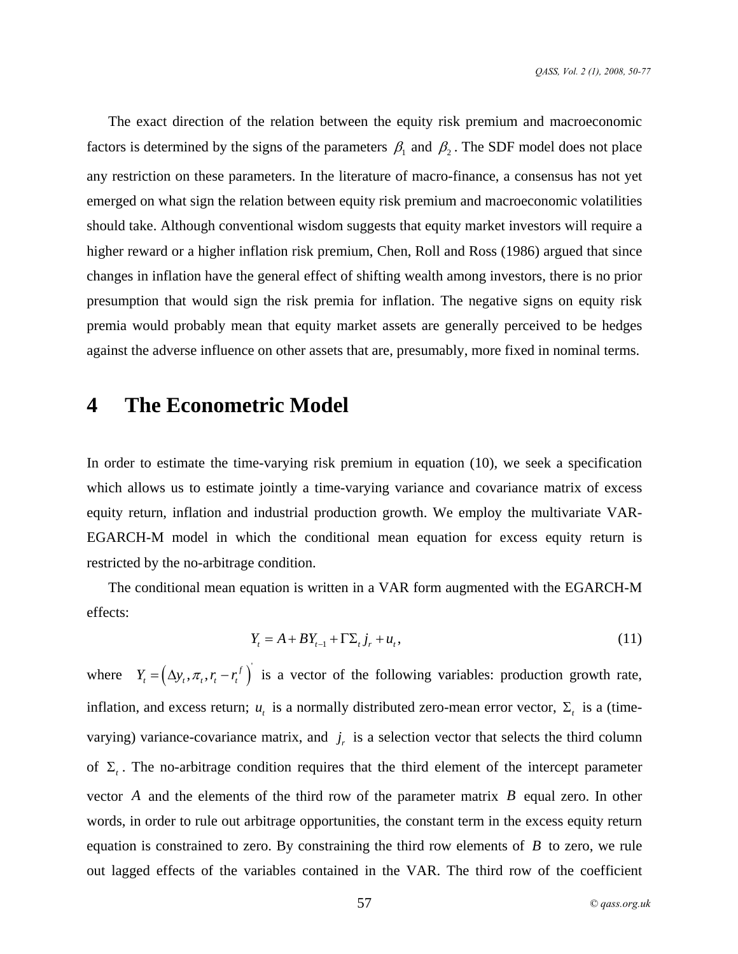The exact direction of the relation between the equity risk premium and macroeconomic factors is determined by the signs of the parameters  $\beta_1$  and  $\beta_2$ . The SDF model does not place any restriction on these parameters. In the literature of macro-finance, a consensus has not yet emerged on what sign the relation between equity risk premium and macroeconomic volatilities should take. Although conventional wisdom suggests that equity market investors will require a higher reward or a higher inflation risk premium, Chen, Roll and Ross (1986) argued that since changes in inflation have the general effect of shifting wealth among investors, there is no prior presumption that would sign the risk premia for inflation. The negative signs on equity risk premia would probably mean that equity market assets are generally perceived to be hedges against the adverse influence on other assets that are, presumably, more fixed in nominal terms.

# **4 The Econometric Model**

In order to estimate the time-varying risk premium in equation (10), we seek a specification which allows us to estimate jointly a time-varying variance and covariance matrix of excess equity return, inflation and industrial production growth. We employ the multivariate VAR-EGARCH-M model in which the conditional mean equation for excess equity return is restricted by the no-arbitrage condition.

The conditional mean equation is written in a VAR form augmented with the EGARCH-M effects:

$$
Y_t = A + BY_{t-1} + \Gamma \sum_i j_r + u_t, \tag{11}
$$

where  $Y_t = (\Delta y_t, \pi_t, r_t - r_t)^T$  is a vector of the following variables: production growth rate, inflation, and excess return;  $u_t$  is a normally distributed zero-mean error vector,  $\Sigma_t$  is a (timevarying) variance-covariance matrix, and  $j_r$  is a selection vector that selects the third column of  $\Sigma_t$ . The no-arbitrage condition requires that the third element of the intercept parameter vector A and the elements of the third row of the parameter matrix  $B$  equal zero. In other words, in order to rule out arbitrage opportunities, the constant term in the excess equity return equation is constrained to zero. By constraining the third row elements of  $B$  to zero, we rule out lagged effects of the variables contained in the VAR. The third row of the coefficient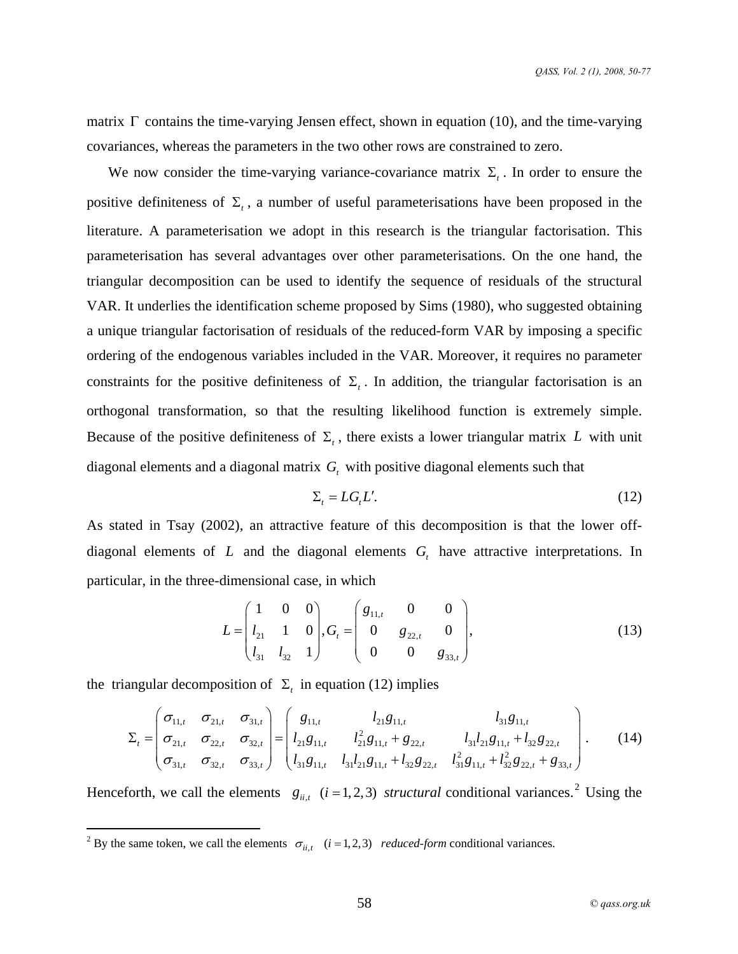matrix  $\Gamma$  contains the time-varying Jensen effect, shown in equation (10), and the time-varying covariances, whereas the parameters in the two other rows are constrained to zero.

We now consider the time-varying variance-covariance matrix  $\Sigma_t$ . In order to ensure the positive definiteness of  $\Sigma_t$ , a number of useful parameterisations have been proposed in the literature. A parameterisation we adopt in this research is the triangular factorisation. This parameterisation has several advantages over other parameterisations. On the one hand, the triangular decomposition can be used to identify the sequence of residuals of the structural VAR. It underlies the identification scheme proposed by Sims (1980), who suggested obtaining a unique triangular factorisation of residuals of the reduced-form VAR by imposing a specific ordering of the endogenous variables included in the VAR. Moreover, it requires no parameter constraints for the positive definiteness of  $\Sigma_t$ . In addition, the triangular factorisation is an orthogonal transformation, so that the resulting likelihood function is extremely simple. Because of the positive definiteness of  $\Sigma_t$ , there exists a lower triangular matrix L with unit diagonal elements and a diagonal matrix  $G_t$  with positive diagonal elements such that

$$
\Sigma_t = LG_t L'.\tag{12}
$$

As stated in Tsay (2002), an attractive feature of this decomposition is that the lower offdiagonal elements of  $L$  and the diagonal elements  $G_t$  have attractive interpretations. In particular, in the three-dimensional case, in which

$$
L = \begin{pmatrix} 1 & 0 & 0 \\ l_{21} & 1 & 0 \\ l_{31} & l_{32} & 1 \end{pmatrix}, G_t = \begin{pmatrix} g_{11,t} & 0 & 0 \\ 0 & g_{22,t} & 0 \\ 0 & 0 & g_{33,t} \end{pmatrix},
$$
(13)

the triangular decomposition of  $\Sigma_t$  in equation (12) implies

$$
\Sigma_{t} = \begin{pmatrix} \sigma_{11,t} & \sigma_{21,t} & \sigma_{31,t} \\ \sigma_{21,t} & \sigma_{22,t} & \sigma_{32,t} \\ \sigma_{31,t} & \sigma_{32,t} & \sigma_{33,t} \end{pmatrix} = \begin{pmatrix} g_{11,t} & l_{21}g_{11,t} & l_{31}g_{11,t} \\ l_{21}g_{11,t} & l_{21}g_{11,t} + g_{22,t} & l_{31}l_{21}g_{11,t} + l_{32}g_{22,t} \\ l_{31}g_{11,t} & l_{31}l_{21}g_{11,t} + l_{32}g_{22,t} & l_{31}g_{11,t} + l_{32}g_{22,t} + g_{33,t} \end{pmatrix}.
$$
 (14)

Henceforth, we call the elements  $g_{ii,t}$   $(i=1,2,3)$  $(i=1,2,3)$  $(i=1,2,3)$  *structural* conditional variances.<sup>2</sup> Using the

<span id="page-8-0"></span><sup>&</sup>lt;sup>2</sup> By the same token, we call the elements  $\sigma_{ii,t}$  (*i* = 1, 2, 3) *reduced-form* conditional variances.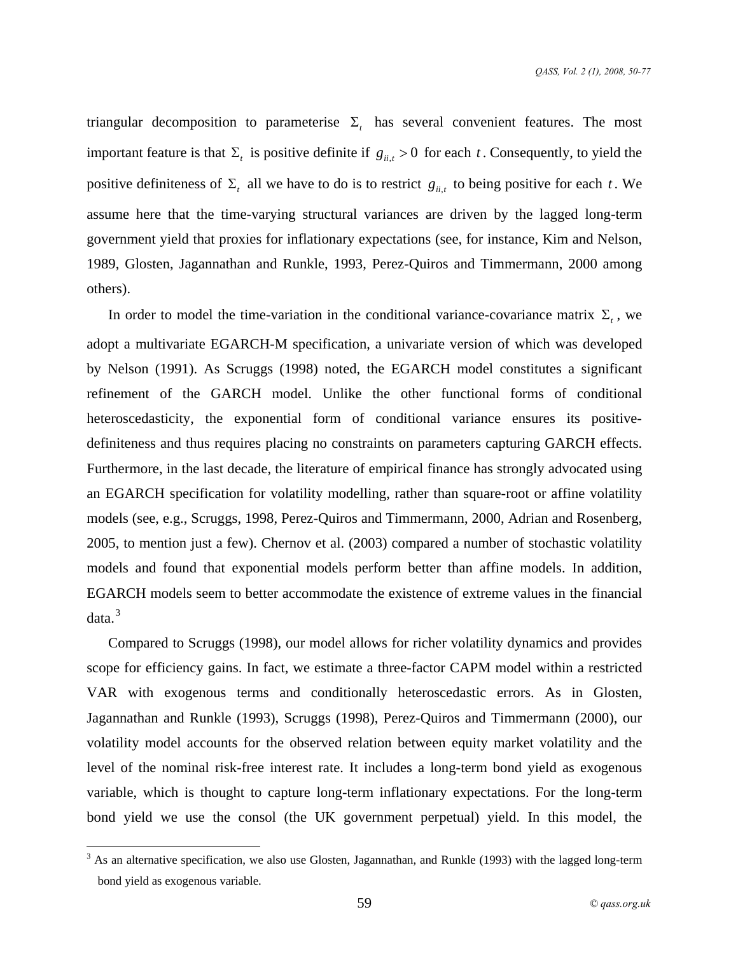triangular decomposition to parameterise  $\Sigma_t$  has several convenient features. The most important feature is that  $\Sigma_t$  is positive definite if  $g_{ii,t} > 0$  for each t. Consequently, to yield the positive definiteness of  $\Sigma_t$  all we have to do is to restrict  $g_{ii,t}$  to being positive for each *t*. We assume here that the time-varying structural variances are driven by the lagged long-term government yield that proxies for inflationary expectations (see, for instance, Kim and Nelson, 1989, Glosten, Jagannathan and Runkle, 1993, Perez-Quiros and Timmermann, 2000 among others).

In order to model the time-variation in the conditional variance-covariance matrix  $\Sigma_t$ , we adopt a multivariate EGARCH-M specification, a univariate version of which was developed by Nelson (1991). As Scruggs (1998) noted, the EGARCH model constitutes a significant refinement of the GARCH model. Unlike the other functional forms of conditional heteroscedasticity, the exponential form of conditional variance ensures its positivedefiniteness and thus requires placing no constraints on parameters capturing GARCH effects. Furthermore, in the last decade, the literature of empirical finance has strongly advocated using an EGARCH specification for volatility modelling, rather than square-root or affine volatility models (see, e.g., Scruggs, 1998, Perez-Quiros and Timmermann, 2000, Adrian and Rosenberg, 2005, to mention just a few). Chernov et al. (2003) compared a number of stochastic volatility models and found that exponential models perform better than affine models. In addition, EGARCH models seem to better accommodate the existence of extreme values in the financial  $data.<sup>3</sup>$  $data.<sup>3</sup>$  $data.<sup>3</sup>$ 

Compared to Scruggs (1998), our model allows for richer volatility dynamics and provides scope for efficiency gains. In fact, we estimate a three-factor CAPM model within a restricted VAR with exogenous terms and conditionally heteroscedastic errors. As in Glosten, Jagannathan and Runkle (1993), Scruggs (1998), Perez-Quiros and Timmermann (2000), our volatility model accounts for the observed relation between equity market volatility and the level of the nominal risk-free interest rate. It includes a long-term bond yield as exogenous variable, which is thought to capture long-term inflationary expectations. For the long-term bond yield we use the consol (the UK government perpetual) yield. In this model, the

 $\overline{a}$ 

<span id="page-9-0"></span> $3$  As an alternative specification, we also use Glosten, Jagannathan, and Runkle (1993) with the lagged long-term bond yield as exogenous variable.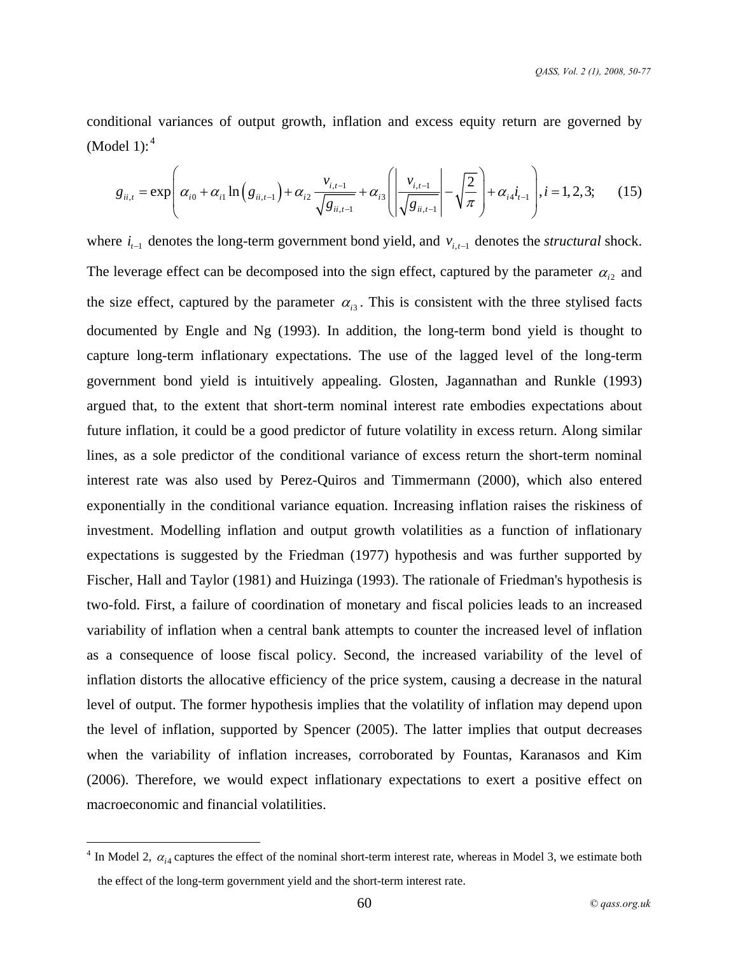conditional variances of output growth, inflation and excess equity return are governed by (Model 1): $<sup>4</sup>$  $<sup>4</sup>$  $<sup>4</sup>$ </sup>

$$
g_{ii,t} = \exp\left(\alpha_{i0} + \alpha_{i1} \ln \left(g_{ii,t-1}\right) + \alpha_{i2} \frac{v_{i,t-1}}{\sqrt{g_{ii,t-1}}} + \alpha_{i3} \left(\left|\frac{v_{i,t-1}}{\sqrt{g_{ii,t-1}}}\right| - \sqrt{\frac{2}{\pi}}\right) + \alpha_{i4} i_{t-1}\right), i = 1, 2, 3; \quad (15)
$$

where  $i_{t-1}$  denotes the long-term government bond yield, and  $v_{i,t-1}$  denotes the *structural* shock. The leverage effect can be decomposed into the sign effect, captured by the parameter  $\alpha_{i2}$  and the size effect, captured by the parameter  $\alpha_{i3}$ . This is consistent with the three stylised facts documented by Engle and Ng (1993). In addition, the long-term bond yield is thought to capture long-term inflationary expectations. The use of the lagged level of the long-term government bond yield is intuitively appealing. Glosten, Jagannathan and Runkle (1993) argued that, to the extent that short-term nominal interest rate embodies expectations about future inflation, it could be a good predictor of future volatility in excess return. Along similar lines, as a sole predictor of the conditional variance of excess return the short-term nominal interest rate was also used by Perez-Quiros and Timmermann (2000), which also entered exponentially in the conditional variance equation. Increasing inflation raises the riskiness of investment. Modelling inflation and output growth volatilities as a function of inflationary expectations is suggested by the Friedman (1977) hypothesis and was further supported by Fischer, Hall and Taylor (1981) and Huizinga (1993). The rationale of Friedman's hypothesis is two-fold. First, a failure of coordination of monetary and fiscal policies leads to an increased variability of inflation when a central bank attempts to counter the increased level of inflation as a consequence of loose fiscal policy. Second, the increased variability of the level of inflation distorts the allocative efficiency of the price system, causing a decrease in the natural level of output. The former hypothesis implies that the volatility of inflation may depend upon the level of inflation, supported by Spencer (2005). The latter implies that output decreases when the variability of inflation increases, corroborated by Fountas, Karanasos and Kim (2006). Therefore, we would expect inflationary expectations to exert a positive effect on macroeconomic and financial volatilities.

 $\overline{a}$ 

<span id="page-10-0"></span><sup>&</sup>lt;sup>4</sup> In Model 2,  $\alpha_{i4}$  captures the effect of the nominal short-term interest rate, whereas in Model 3, we estimate both the effect of the long-term government yield and the short-term interest rate.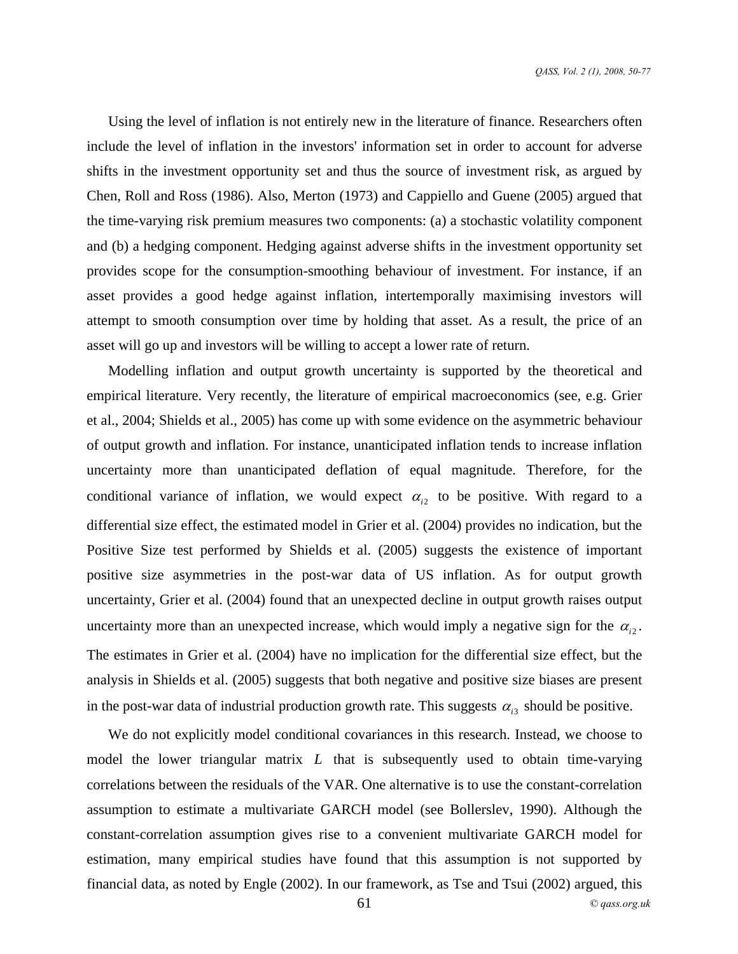Using the level of inflation is not entirely new in the literature of finance. Researchers often include the level of inflation in the investors' information set in order to account for adverse shifts in the investment opportunity set and thus the source of investment risk, as argued by Chen, Roll and Ross (1986). Also, Merton (1973) and Cappiello and Guene (2005) argued that the time-varying risk premium measures two components: (a) a stochastic volatility component and (b) a hedging component. Hedging against adverse shifts in the investment opportunity set provides scope for the consumption-smoothing behaviour of investment. For instance, if an asset provides a good hedge against inflation, intertemporally maximising investors will attempt to smooth consumption over time by holding that asset. As a result, the price of an asset will go up and investors will be willing to accept a lower rate of return.

Modelling inflation and output growth uncertainty is supported by the theoretical and empirical literature. Very recently, the literature of empirical macroeconomics (see, e.g. Grier et al., 2004; Shields et al., 2005) has come up with some evidence on the asymmetric behaviour of output growth and inflation. For instance, unanticipated inflation tends to increase inflation uncertainty more than unanticipated deflation of equal magnitude. Therefore, for the conditional variance of inflation, we would expect  $\alpha_{i2}$  to be positive. With regard to a differential size effect, the estimated model in Grier et al. (2004) provides no indication, but the Positive Size test performed by Shields et al. (2005) suggests the existence of important positive size asymmetries in the post-war data of US inflation. As for output growth uncertainty, Grier et al. (2004) found that an unexpected decline in output growth raises output uncertainty more than an unexpected increase, which would imply a negative sign for the  $\alpha_{i2}$ . The estimates in Grier et al. (2004) have no implication for the differential size effect, but the analysis in Shields et al. (2005) suggests that both negative and positive size biases are present in the post-war data of industrial production growth rate. This suggests  $\alpha_{i3}$  should be positive.

We do not explicitly model conditional covariances in this research. Instead, we choose to model the lower triangular matrix  $L$  that is subsequently used to obtain time-varying correlations between the residuals of the VAR. One alternative is to use the constant-correlation assumption to estimate a multivariate GARCH model (see Bollerslev, 1990). Although the constant-correlation assumption gives rise to a convenient multivariate GARCH model for estimation, many empirical studies have found that this assumption is not supported by financial data, as noted by Engle (2002). In our framework, as Tse and Tsui (2002) argued, this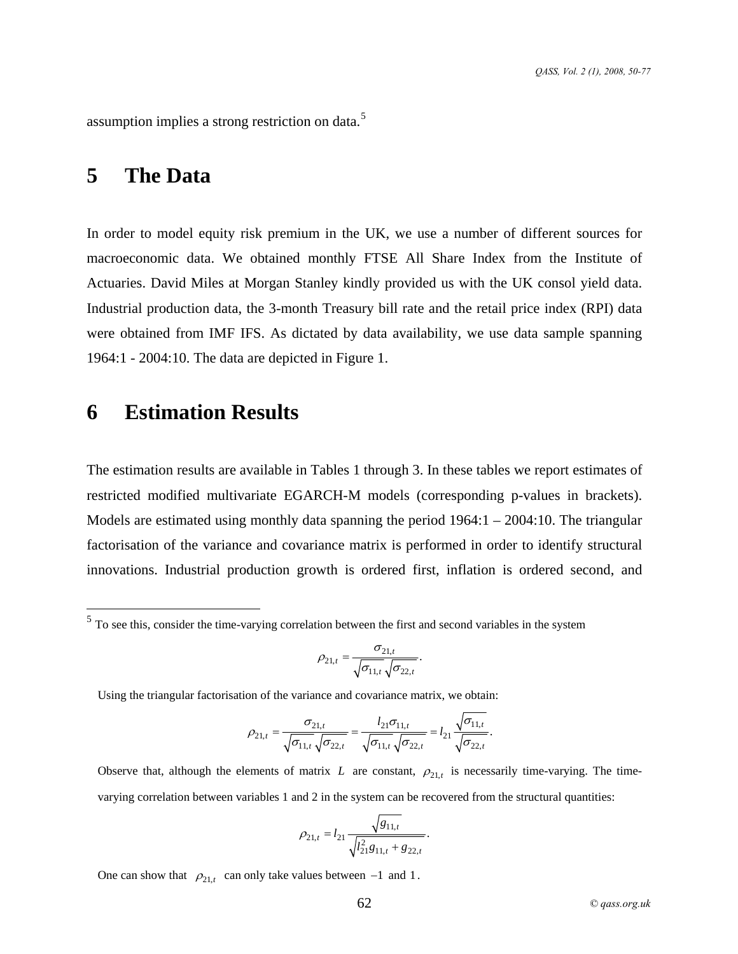assumption implies a strong restriction on data.[5](#page-12-0)

# **5 The Data**

In order to model equity risk premium in the UK, we use a number of different sources for macroeconomic data. We obtained monthly FTSE All Share Index from the Institute of Actuaries. David Miles at Morgan Stanley kindly provided us with the UK consol yield data. Industrial production data, the 3-month Treasury bill rate and the retail price index (RPI) data were obtained from IMF IFS. As dictated by data availability, we use data sample spanning 1964:1 - 2004:10. The data are depicted in Figure 1.

## **6 Estimation Results**

 $\overline{a}$ 

The estimation results are available in Tables 1 through 3. In these tables we report estimates of restricted modified multivariate EGARCH-M models (corresponding p-values in brackets). Models are estimated using monthly data spanning the period  $1964:1 - 2004:10$ . The triangular factorisation of the variance and covariance matrix is performed in order to identify structural innovations. Industrial production growth is ordered first, inflation is ordered second, and

$$
\rho_{21,t} = \frac{\sigma_{21,t}}{\sqrt{\sigma_{11,t}} \sqrt{\sigma_{22,t}}}.
$$

Using the triangular factorisation of the variance and covariance matrix, we obtain:

$$
\rho_{21,t} = \frac{\sigma_{21,t}}{\sqrt{\sigma_{11,t}} \sqrt{\sigma_{22,t}}} = \frac{l_{21} \sigma_{11,t}}{\sqrt{\sigma_{11,t}} \sqrt{\sigma_{22,t}}} = l_{21} \frac{\sqrt{\sigma_{11,t}}}{\sqrt{\sigma_{22,t}}}.
$$

 $\mathbf{r}$ 

Observe that, although the elements of matrix *L* are constant,  $\rho_{21,t}$  is necessarily time-varying. The timevarying correlation between variables 1 and 2 in the system can be recovered from the structural quantities:

$$
\rho_{21,t} = l_{21} \frac{\sqrt{g_{11,t}}}{\sqrt{l_{21}^2 g_{11,t} + g_{22,t}}}.
$$

One can show that  $\rho_{21,t}$  can only take values between  $-1$  and 1.

<span id="page-12-0"></span> $<sup>5</sup>$  To see this, consider the time-varying correlation between the first and second variables in the system</sup>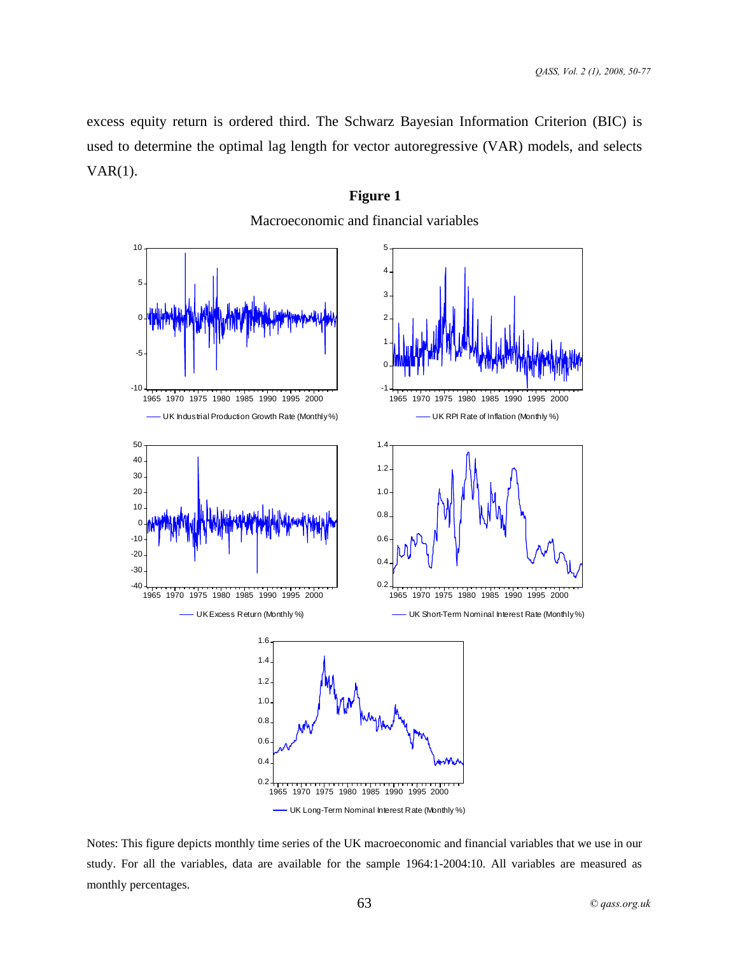excess equity return is ordered third. The Schwarz Bayesian Information Criterion (BIC) is used to determine the optimal lag length for vector autoregressive (VAR) models, and selects VAR(1).

**Figure 1** 



UK Long-Term Nominal Interest Rate (Monthly %)

Notes: This figure depicts monthly time series of the UK macroeconomic and financial variables that we use in our study. For all the variables, data are available for the sample 1964:1-2004:10. All variables are measured as monthly percentages.

63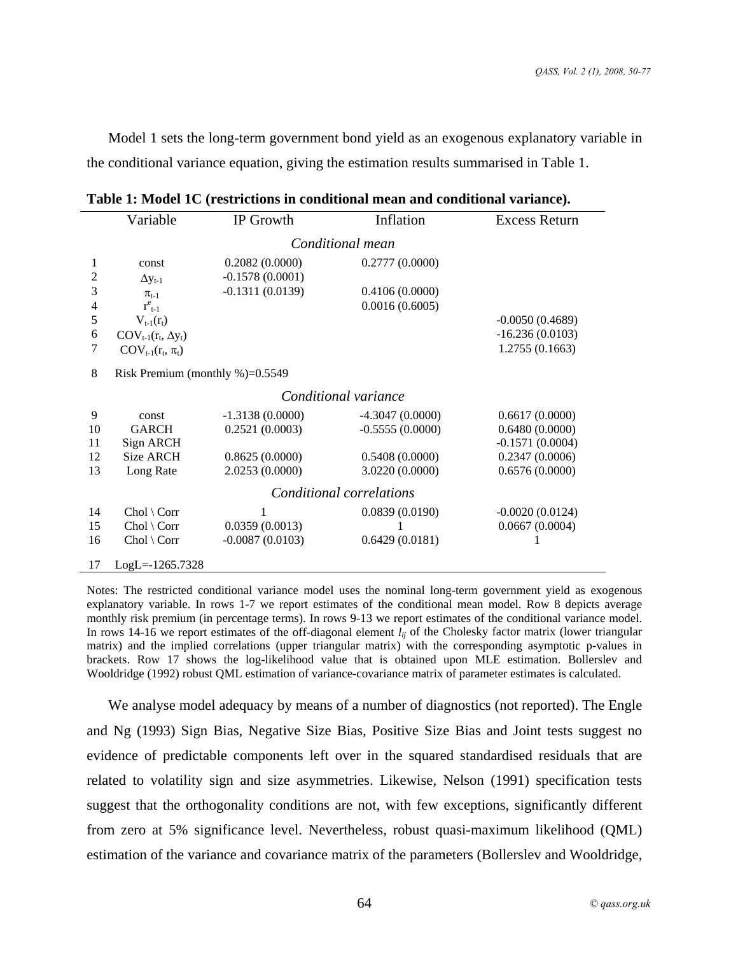Model 1 sets the long-term government bond yield as an exogenous explanatory variable in the conditional variance equation, giving the estimation results summarised in Table 1.

|                  | Variable                            | IP Growth         | Inflation                | <b>Excess Return</b> |  |  |  |  |
|------------------|-------------------------------------|-------------------|--------------------------|----------------------|--|--|--|--|
| Conditional mean |                                     |                   |                          |                      |  |  |  |  |
| 1                | const                               | 0.2082(0.0000)    | 0.2777(0.0000)           |                      |  |  |  |  |
| 2                | $\Delta y_{t-1}$                    | $-0.1578(0.0001)$ |                          |                      |  |  |  |  |
| 3                | $\pi_{t-1}$                         | $-0.1311(0.0139)$ | 0.4106(0.0000)           |                      |  |  |  |  |
| 4                | $r_{t-1}^e$                         |                   | 0.0016(0.6005)           |                      |  |  |  |  |
| 5                | $V_{t-1}(r_t)$                      |                   |                          | $-0.0050(0.4689)$    |  |  |  |  |
| 6                | $COV_{t-1}(r_t, \Delta y_t)$        |                   |                          | $-16.236(0.0103)$    |  |  |  |  |
| 7                | $\text{COV}_{t-1}(r_t, \pi_t)$      |                   |                          | 1.2755(0.1663)       |  |  |  |  |
| 8                | Risk Premium (monthly $\%$ )=0.5549 |                   |                          |                      |  |  |  |  |
|                  | Conditional variance                |                   |                          |                      |  |  |  |  |
| 9                | const                               | $-1.3138(0.0000)$ | $-4.3047(0.0000)$        | 0.6617(0.0000)       |  |  |  |  |
| 10               | <b>GARCH</b>                        | 0.2521(0.0003)    | $-0.5555(0.0000)$        | 0.6480(0.0000)       |  |  |  |  |
| 11               | Sign ARCH                           |                   |                          | $-0.1571(0.0004)$    |  |  |  |  |
| 12               | <b>Size ARCH</b>                    | 0.8625(0.0000)    | 0.5408(0.0000)           | 0.2347(0.0006)       |  |  |  |  |
| 13               | Long Rate                           | 2.0253(0.0000)    | 3.0220 (0.0000)          | 0.6576(0.0000)       |  |  |  |  |
|                  |                                     |                   | Conditional correlations |                      |  |  |  |  |
| 14               | $Chol \setminus Corr$               |                   | 0.0839(0.0190)           | $-0.0020(0.0124)$    |  |  |  |  |
| 15               | $Chol \setminus Corr$               | 0.0359(0.0013)    |                          | 0.0667(0.0004)       |  |  |  |  |
| 16               | $Chol \setminus Corr$               | $-0.0087(0.0103)$ | 0.6429(0.0181)           |                      |  |  |  |  |
| 17               | $LogL = -1265.7328$                 |                   |                          |                      |  |  |  |  |

**Table 1: Model 1C (restrictions in conditional mean and conditional variance).** 

Notes: The restricted conditional variance model uses the nominal long-term government yield as exogenous explanatory variable. In rows 1-7 we report estimates of the conditional mean model. Row 8 depicts average monthly risk premium (in percentage terms). In rows 9-13 we report estimates of the conditional variance model. In rows 14-16 we report estimates of the off-diagonal element  $l_{ij}$  of the Cholesky factor matrix (lower triangular matrix) and the implied correlations (upper triangular matrix) with the corresponding asymptotic p-values in brackets. Row 17 shows the log-likelihood value that is obtained upon MLE estimation. Bollerslev and Wooldridge (1992) robust QML estimation of variance-covariance matrix of parameter estimates is calculated.

We analyse model adequacy by means of a number of diagnostics (not reported). The Engle and Ng (1993) Sign Bias, Negative Size Bias, Positive Size Bias and Joint tests suggest no evidence of predictable components left over in the squared standardised residuals that are related to volatility sign and size asymmetries. Likewise, Nelson (1991) specification tests suggest that the orthogonality conditions are not, with few exceptions, significantly different from zero at 5% significance level. Nevertheless, robust quasi-maximum likelihood (QML) estimation of the variance and covariance matrix of the parameters (Bollerslev and Wooldridge,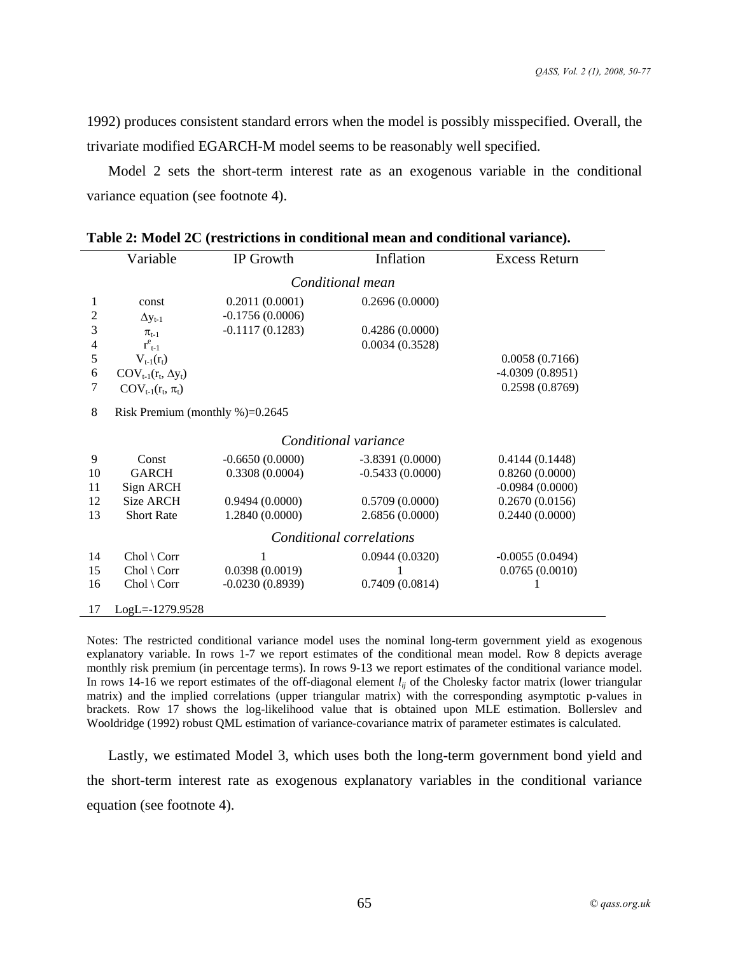1992) produces consistent standard errors when the model is possibly misspecified. Overall, the trivariate modified EGARCH-M model seems to be reasonably well specified.

Model 2 sets the short-term interest rate as an exogenous variable in the conditional variance equation (see footnote 4).

|                          | Variable                            | IP Growth         | Inflation         | <b>Excess Return</b> |  |  |  |
|--------------------------|-------------------------------------|-------------------|-------------------|----------------------|--|--|--|
|                          | Conditional mean                    |                   |                   |                      |  |  |  |
| 1                        | const                               | 0.2011(0.0001)    | 0.2696(0.0000)    |                      |  |  |  |
| 2                        | $\Delta y_{t-1}$                    | $-0.1756(0.0006)$ |                   |                      |  |  |  |
| 3                        | $\pi_{t-1}$                         | $-0.1117(0.1283)$ | 0.4286(0.0000)    |                      |  |  |  |
| 4                        | $r_{t-1}^e$                         |                   | 0.0034(0.3528)    |                      |  |  |  |
| 5                        | $V_{t-1}(r_t)$                      |                   |                   | 0.0058(0.7166)       |  |  |  |
| 6                        | $COV_{t-1}(r_t, \Delta y_t)$        |                   |                   | $-4.0309(0.8951)$    |  |  |  |
| 7                        | $\text{COV}_{t-1}(r_t, \pi_t)$      |                   |                   | 0.2598(0.8769)       |  |  |  |
| 8                        | Risk Premium (monthly $\%$ )=0.2645 |                   |                   |                      |  |  |  |
| Conditional variance     |                                     |                   |                   |                      |  |  |  |
| 9                        | Const                               | $-0.6650(0.0000)$ | $-3.8391(0.0000)$ | 0.4144(0.1448)       |  |  |  |
| 10                       | <b>GARCH</b>                        | 0.3308(0.0004)    | $-0.5433(0.0000)$ | 0.8260(0.0000)       |  |  |  |
| 11                       | Sign ARCH                           |                   |                   | $-0.0984(0.0000)$    |  |  |  |
| 12                       | Size ARCH                           | 0.9494(0.0000)    | 0.5709(0.0000)    | 0.2670(0.0156)       |  |  |  |
| 13                       | <b>Short Rate</b>                   | 1.2840 (0.0000)   | 2.6856 (0.0000)   | 0.2440(0.0000)       |  |  |  |
| Conditional correlations |                                     |                   |                   |                      |  |  |  |
| 14                       | $Chol \setminus Corr$               | 1                 | 0.0944(0.0320)    | $-0.0055(0.0494)$    |  |  |  |
| 15                       | $Chol \setminus Corr$               | 0.0398(0.0019)    |                   | 0.0765(0.0010)       |  |  |  |
| 16                       | $Chol \setminus Corr$               | $-0.0230(0.8939)$ | 0.7409(0.0814)    |                      |  |  |  |
| 17                       | $LogL = -1279.9528$                 |                   |                   |                      |  |  |  |

|  | Table 2: Model 2C (restrictions in conditional mean and conditional variance). |  |  |
|--|--------------------------------------------------------------------------------|--|--|
|  |                                                                                |  |  |

Notes: The restricted conditional variance model uses the nominal long-term government yield as exogenous explanatory variable. In rows 1-7 we report estimates of the conditional mean model. Row 8 depicts average monthly risk premium (in percentage terms). In rows 9-13 we report estimates of the conditional variance model. In rows 14-16 we report estimates of the off-diagonal element  $l_{ij}$  of the Cholesky factor matrix (lower triangular matrix) and the implied correlations (upper triangular matrix) with the corresponding asymptotic p-values in brackets. Row 17 shows the log-likelihood value that is obtained upon MLE estimation. Bollerslev and Wooldridge (1992) robust QML estimation of variance-covariance matrix of parameter estimates is calculated.

Lastly, we estimated Model 3, which uses both the long-term government bond yield and the short-term interest rate as exogenous explanatory variables in the conditional variance equation (see footnote 4).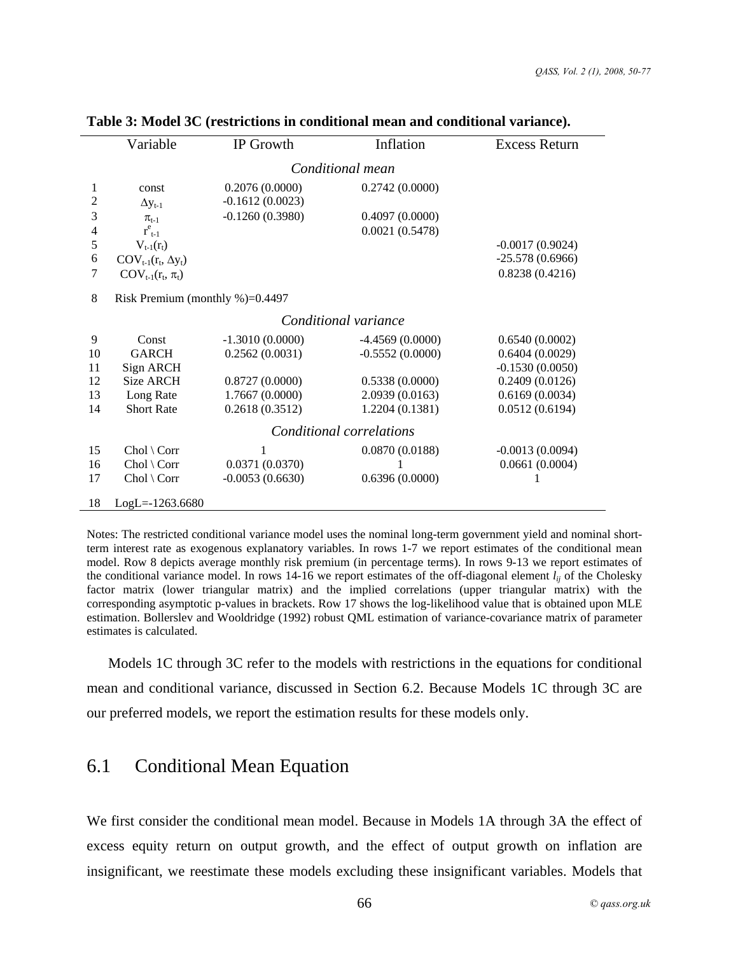|                          | Variable                            | IP Growth         | Inflation         | <b>Excess Return</b> |  |  |
|--------------------------|-------------------------------------|-------------------|-------------------|----------------------|--|--|
| Conditional mean         |                                     |                   |                   |                      |  |  |
| 1                        | const                               | 0.2076(0.0000)    | 0.2742(0.0000)    |                      |  |  |
| 2                        | $\Delta y_{t-1}$                    | $-0.1612(0.0023)$ |                   |                      |  |  |
| 3                        | $\pi_{t-1}$                         | $-0.1260(0.3980)$ | 0.4097(0.0000)    |                      |  |  |
| 4                        | $r_{t-1}^e$                         |                   | 0.0021(0.5478)    |                      |  |  |
| 5                        | $V_{t-1}(r_t)$                      |                   |                   | $-0.0017(0.9024)$    |  |  |
| 6                        | $COV_{t-1}(r_t, \Delta y_t)$        |                   |                   | $-25.578(0.6966)$    |  |  |
| 7                        | $\text{COV}_{t-1}(r_t, \pi_t)$      |                   |                   | 0.8238(0.4216)       |  |  |
| 8                        | Risk Premium (monthly $\%$ )=0.4497 |                   |                   |                      |  |  |
| Conditional variance     |                                     |                   |                   |                      |  |  |
| 9                        | Const                               | $-1.3010(0.0000)$ | $-4.4569(0.0000)$ | 0.6540(0.0002)       |  |  |
| 10                       | <b>GARCH</b>                        | 0.2562(0.0031)    | $-0.5552(0.0000)$ | 0.6404(0.0029)       |  |  |
| 11                       | Sign ARCH                           |                   |                   | $-0.1530(0.0050)$    |  |  |
| 12                       | Size ARCH                           | 0.8727(0.0000)    | 0.5338(0.0000)    | 0.2409(0.0126)       |  |  |
| 13                       | Long Rate                           | 1.7667 (0.0000)   | 2.0939 (0.0163)   | 0.6169(0.0034)       |  |  |
| 14                       | <b>Short Rate</b>                   | 0.2618(0.3512)    | 1.2204 (0.1381)   | 0.0512(0.6194)       |  |  |
| Conditional correlations |                                     |                   |                   |                      |  |  |
| 15                       | $Chol \setminus Corr$               |                   | 0.0870(0.0188)    | $-0.0013(0.0094)$    |  |  |
| 16                       | $Chol \setminus Corr$               | 0.0371(0.0370)    | 1                 | 0.0661(0.0004)       |  |  |
| 17                       | $Chol \setminus Corr$               | $-0.0053(0.6630)$ | 0.6396(0.0000)    |                      |  |  |
| 18                       | $LogL = -1263.6680$                 |                   |                   |                      |  |  |

**Table 3: Model 3C (restrictions in conditional mean and conditional variance).** 

Notes: The restricted conditional variance model uses the nominal long-term government yield and nominal shortterm interest rate as exogenous explanatory variables. In rows 1-7 we report estimates of the conditional mean model. Row 8 depicts average monthly risk premium (in percentage terms). In rows 9-13 we report estimates of the conditional variance model. In rows 14-16 we report estimates of the off-diagonal element  $l_{ij}$  of the Cholesky factor matrix (lower triangular matrix) and the implied correlations (upper triangular matrix) with the corresponding asymptotic p-values in brackets. Row 17 shows the log-likelihood value that is obtained upon MLE estimation. Bollerslev and Wooldridge (1992) robust QML estimation of variance-covariance matrix of parameter estimates is calculated.

Models 1C through 3C refer to the models with restrictions in the equations for conditional mean and conditional variance, discussed in Section 6.2. Because Models 1C through 3C are our preferred models, we report the estimation results for these models only.

#### 6.1 Conditional Mean Equation

We first consider the conditional mean model. Because in Models 1A through 3A the effect of excess equity return on output growth, and the effect of output growth on inflation are insignificant, we reestimate these models excluding these insignificant variables. Models that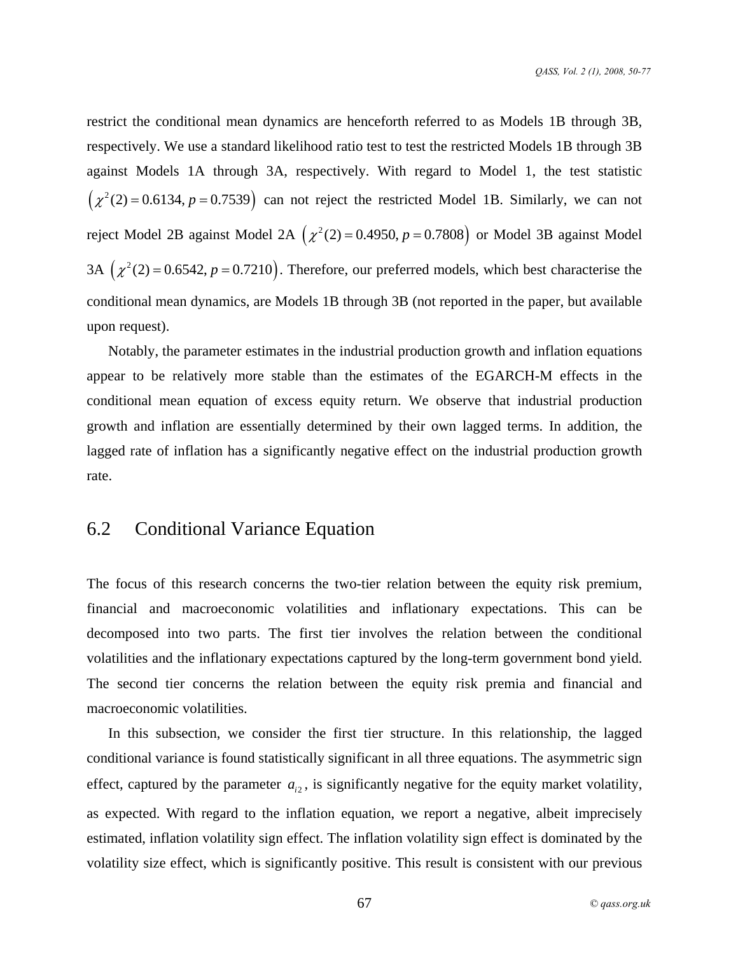restrict the conditional mean dynamics are henceforth referred to as Models 1B through 3B, respectively. We use a standard likelihood ratio test to test the restricted Models 1B through 3B against Models 1A through 3A, respectively. With regard to Model 1, the test statistic  $\left(\chi^2(2) = 0.6134, p = 0.7539\right)$  can not reject the restricted Model 1B. Similarly, we can not reject Model 2B against Model 2A  $(\chi^2(2) = 0.4950, p = 0.7808)$  or Model 3B against Model 3A  $(x^2(2) = 0.6542, p = 0.7210)$ . Therefore, our preferred models, which best characterise the conditional mean dynamics, are Models 1B through 3B (not reported in the paper, but available upon request).

Notably, the parameter estimates in the industrial production growth and inflation equations appear to be relatively more stable than the estimates of the EGARCH-M effects in the conditional mean equation of excess equity return. We observe that industrial production growth and inflation are essentially determined by their own lagged terms. In addition, the lagged rate of inflation has a significantly negative effect on the industrial production growth rate.

#### 6.2 Conditional Variance Equation

The focus of this research concerns the two-tier relation between the equity risk premium, financial and macroeconomic volatilities and inflationary expectations. This can be decomposed into two parts. The first tier involves the relation between the conditional volatilities and the inflationary expectations captured by the long-term government bond yield. The second tier concerns the relation between the equity risk premia and financial and macroeconomic volatilities.

In this subsection, we consider the first tier structure. In this relationship, the lagged conditional variance is found statistically significant in all three equations. The asymmetric sign effect, captured by the parameter  $a_{i2}$ , is significantly negative for the equity market volatility, as expected. With regard to the inflation equation, we report a negative, albeit imprecisely estimated, inflation volatility sign effect. The inflation volatility sign effect is dominated by the volatility size effect, which is significantly positive. This result is consistent with our previous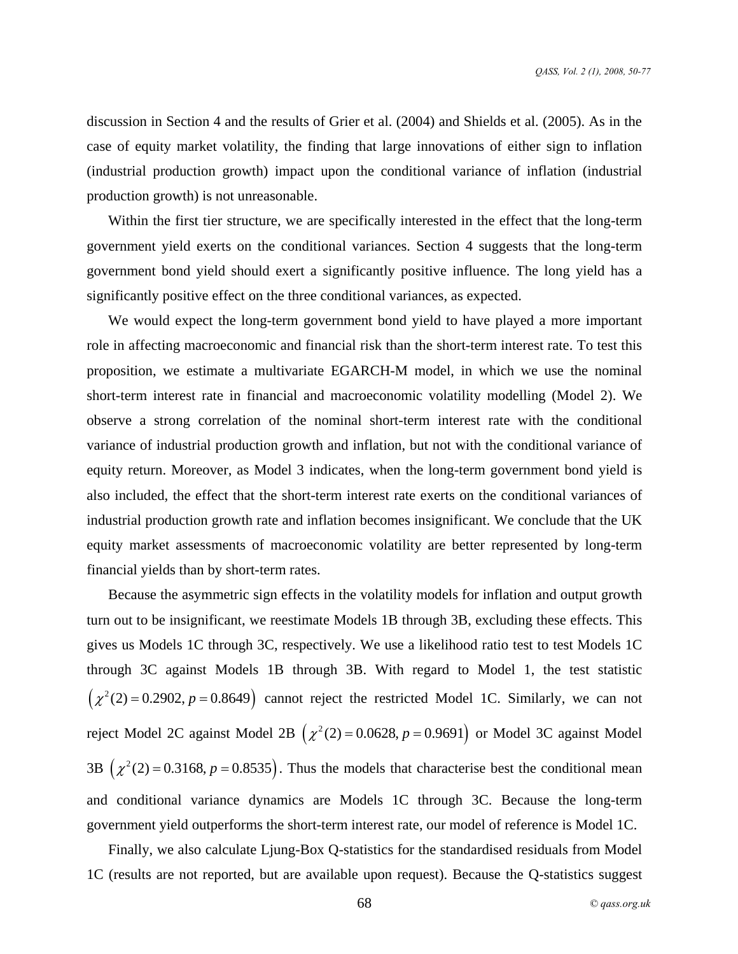discussion in Section 4 and the results of Grier et al. (2004) and Shields et al. (2005). As in the case of equity market volatility, the finding that large innovations of either sign to inflation (industrial production growth) impact upon the conditional variance of inflation (industrial production growth) is not unreasonable.

Within the first tier structure, we are specifically interested in the effect that the long-term government yield exerts on the conditional variances. Section 4 suggests that the long-term government bond yield should exert a significantly positive influence. The long yield has a significantly positive effect on the three conditional variances, as expected.

We would expect the long-term government bond yield to have played a more important role in affecting macroeconomic and financial risk than the short-term interest rate. To test this proposition, we estimate a multivariate EGARCH-M model, in which we use the nominal short-term interest rate in financial and macroeconomic volatility modelling (Model 2). We observe a strong correlation of the nominal short-term interest rate with the conditional variance of industrial production growth and inflation, but not with the conditional variance of equity return. Moreover, as Model 3 indicates, when the long-term government bond yield is also included, the effect that the short-term interest rate exerts on the conditional variances of industrial production growth rate and inflation becomes insignificant. We conclude that the UK equity market assessments of macroeconomic volatility are better represented by long-term financial yields than by short-term rates.

Because the asymmetric sign effects in the volatility models for inflation and output growth turn out to be insignificant, we reestimate Models 1B through 3B, excluding these effects. This gives us Models 1C through 3C, respectively. We use a likelihood ratio test to test Models 1C through 3C against Models 1B through 3B. With regard to Model 1, the test statistic  $\left(\chi^2(2) = 0.2902, p = 0.8649\right)$  cannot reject the restricted Model 1C. Similarly, we can not reject Model 2C against Model 2B  $(\chi^2(2) = 0.0628, p = 0.9691)$  or Model 3C against Model 3B  $(x^2(2) = 0.3168, p = 0.8535)$ . Thus the models that characterise best the conditional mean and conditional variance dynamics are Models 1C through 3C. Because the long-term government yield outperforms the short-term interest rate, our model of reference is Model 1C.

Finally, we also calculate Ljung-Box Q-statistics for the standardised residuals from Model 1C (results are not reported, but are available upon request). Because the Q-statistics suggest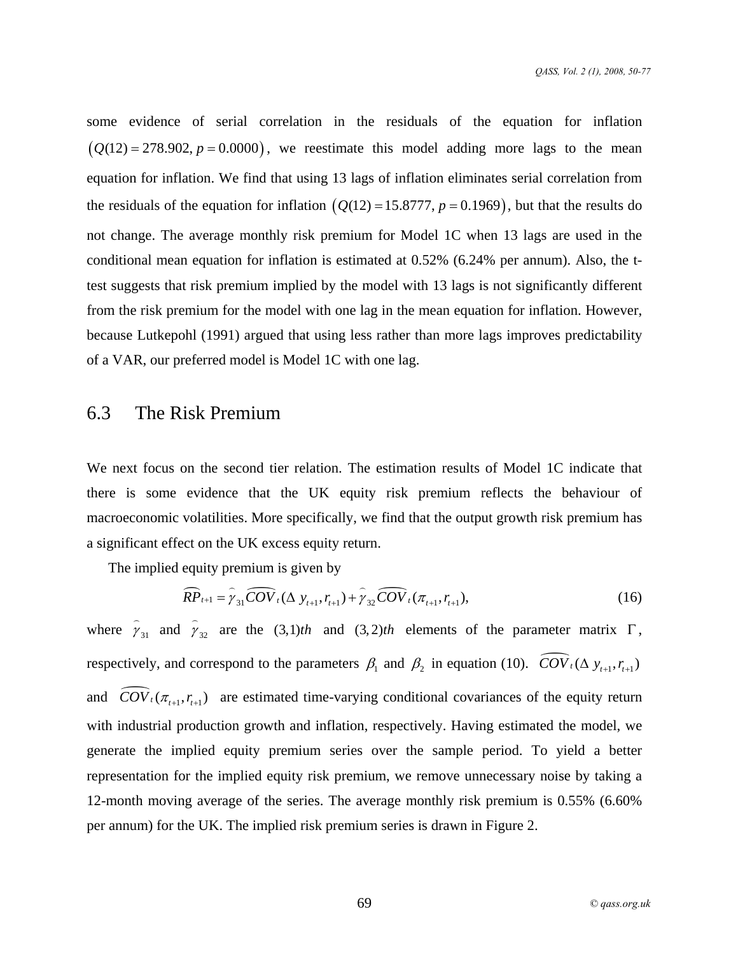$(Q(12) = 278.902, p = 0.0000)$ , we reestimate this model adding more lags to the mean some evidence of serial correlation in the residuals of the equation for inflation equation for inflation. We find that using 13 lags of inflation eliminates serial correlation from the residuals of the equation for inflation  $(Q(12) = 15.8777, p = 0.1969)$ , but that the results do not change. The average monthly risk premium for Model 1C when 13 lags are used in the conditional mean equation for inflation is estimated at 0.52% (6.24% per annum). Also, the ttest suggests that risk premium implied by the model with 13 lags is not significantly different from the risk premium for the model with one lag in the mean equation for inflation. However, because Lutkepohl (1991) argued that using less rather than more lags improves predictability of a VAR, our preferred model is Model 1C with one lag.

#### 6.3 The Risk Premium

We next focus on the second tier relation. The estimation results of Model 1C indicate that there is some evidence that the UK equity risk premium reflects the behaviour of macroeconomic volatilities. More specifically, we find that the output growth risk premium has a significant effect on the UK excess equity return.

The implied equity premium is given by

$$
\widehat{RP}_{t+1} = \widehat{r}_{31} \widehat{COV}_t (\Delta y_{t+1}, r_{t+1}) + \widehat{r}_{32} \widehat{COV}_t (\pi_{t+1}, r_{t+1}),
$$
\n(16)

where  $\hat{\gamma}_{31}$  and  $\hat{\gamma}_{32}$  are the (3,1)*th* and (3,2)*th* elements of the parameter matrix  $\Gamma$ , respectively, and correspond to the parameters  $\beta_1$  and  $\beta_2$  in equation (10).  $\widehat{COV}_t(\Delta y_{t+1}, r_{t+1})$ and  $\widehat{COV}_t(\pi_{t+1}, r_{t+1})$  are estimated time-varying conditional covariances of the equity return with industrial production growth and inflation, respectively. Having estimated the model, we generate the implied equity premium series over the sample period. To yield a better representation for the implied equity risk premium, we remove unnecessary noise by taking a 12-month moving average of the series. The average monthly risk premium is 0.55% (6.60% per annum) for the UK. The implied risk premium series is drawn in Figure 2.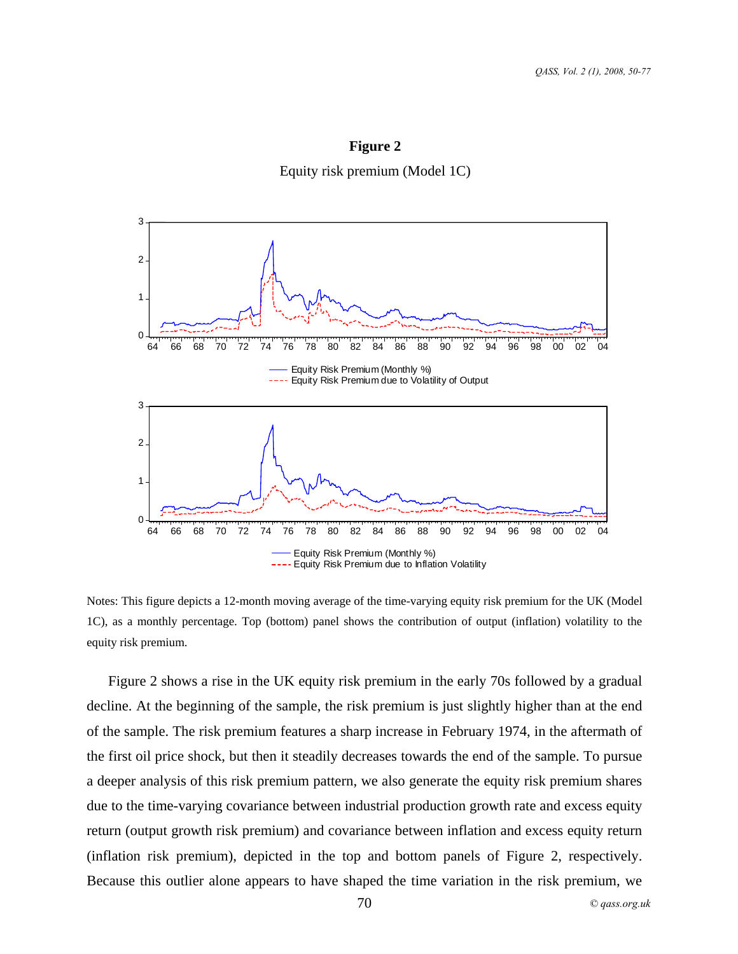



Notes: This figure depicts a 12-month moving average of the time-varying equity risk premium for the UK (Model 1C), as a monthly percentage. Top (bottom) panel shows the contribution of output (inflation) volatility to the equity risk premium.

Figure 2 shows a rise in the UK equity risk premium in the early 70s followed by a gradual decline. At the beginning of the sample, the risk premium is just slightly higher than at the end of the sample. The risk premium features a sharp increase in February 1974, in the aftermath of the first oil price shock, but then it steadily decreases towards the end of the sample. To pursue a deeper analysis of this risk premium pattern, we also generate the equity risk premium shares due to the time-varying covariance between industrial production growth rate and excess equity return (output growth risk premium) and covariance between inflation and excess equity return (inflation risk premium), depicted in the top and bottom panels of Figure 2, respectively. Because this outlier alone appears to have shaped the time variation in the risk premium, we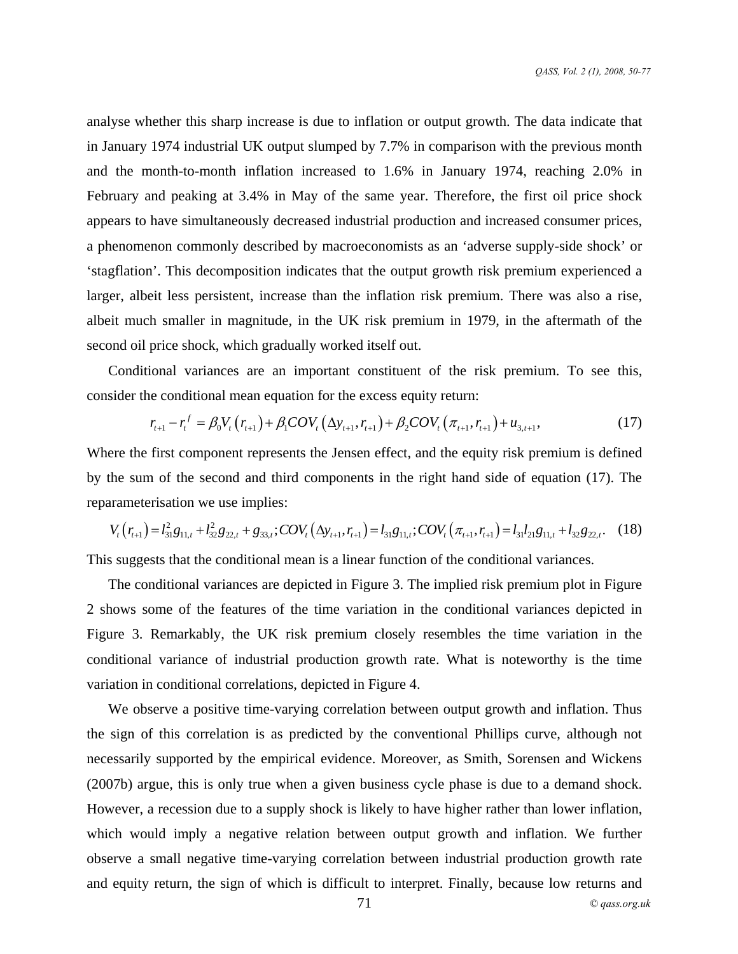analyse whether this sharp increase is due to inflation or output growth. The data indicate that in January 1974 industrial UK output slumped by 7.7% in comparison with the previous month and the month-to-month inflation increased to 1.6% in January 1974, reaching 2.0% in February and peaking at 3.4% in May of the same year. Therefore, the first oil price shock appears to have simultaneously decreased industrial production and increased consumer prices, a phenomenon commonly described by macroeconomists as an 'adverse supply-side shock' or 'stagflation'. This decomposition indicates that the output growth risk premium experienced a larger, albeit less persistent, increase than the inflation risk premium. There was also a rise, albeit much smaller in magnitude, in the UK risk premium in 1979, in the aftermath of the second oil price shock, which gradually worked itself out.

Conditional variances are an important constituent of the risk premium. To see this, consider the conditional mean equation for the excess equity return:

$$
r_{t+1} - r_t^f = \beta_0 V_t \left( r_{t+1} \right) + \beta_1 COV_t \left( \Delta y_{t+1}, r_{t+1} \right) + \beta_2 COV_t \left( \pi_{t+1}, r_{t+1} \right) + u_{3, t+1}, \tag{17}
$$

Where the first component represents the Jensen effect, and the equity risk premium is defined by the sum of the second and third components in the right hand side of equation (17). The reparameterisation we use implies:

$$
V_{t}(r_{t+1}) = l_{31}^{2}g_{11,t} + l_{32}^{2}g_{22,t} + g_{33,t}; \text{COV}_{t}(\Delta y_{t+1}, r_{t+1}) = l_{31}g_{11,t}; \text{COV}_{t}(\pi_{t+1}, r_{t+1}) = l_{31}l_{21}g_{11,t} + l_{32}g_{22,t}. \tag{18}
$$

This suggests that the conditional mean is a linear function of the conditional variances.

The conditional variances are depicted in Figure 3. The implied risk premium plot in Figure 2 shows some of the features of the time variation in the conditional variances depicted in Figure 3. Remarkably, the UK risk premium closely resembles the time variation in the conditional variance of industrial production growth rate. What is noteworthy is the time variation in conditional correlations, depicted in Figure 4.

We observe a positive time-varying correlation between output growth and inflation. Thus the sign of this correlation is as predicted by the conventional Phillips curve, although not necessarily supported by the empirical evidence. Moreover, as Smith, Sorensen and Wickens (2007b) argue, this is only true when a given business cycle phase is due to a demand shock. However, a recession due to a supply shock is likely to have higher rather than lower inflation, which would imply a negative relation between output growth and inflation. We further observe a small negative time-varying correlation between industrial production growth rate and equity return, the sign of which is difficult to interpret. Finally, because low returns and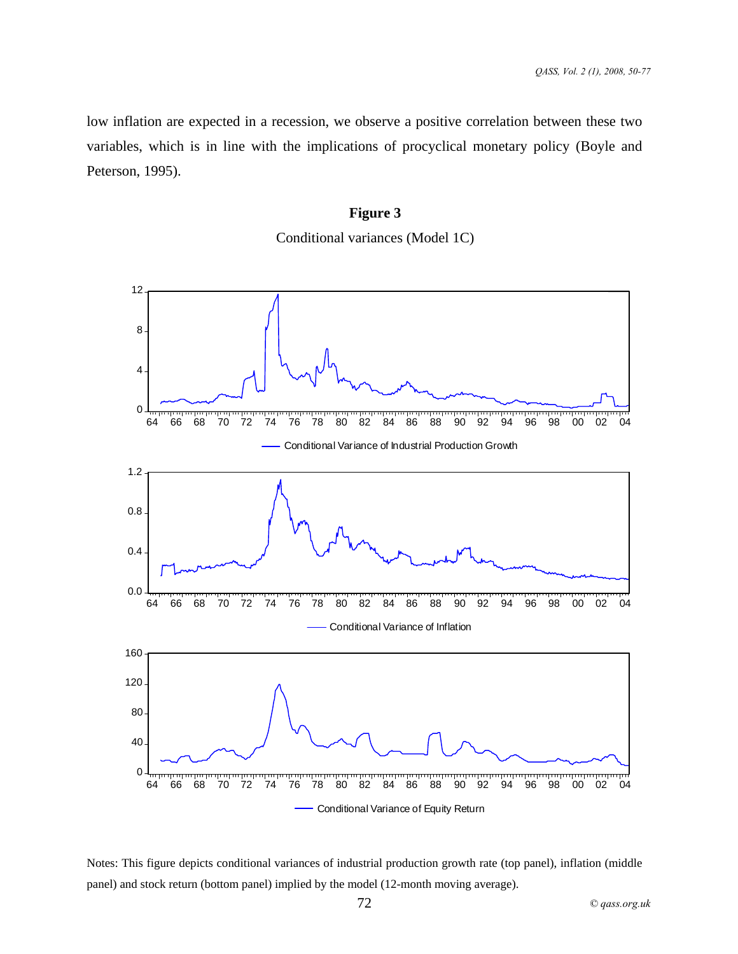low inflation are expected in a recession, we observe a positive correlation between these two variables, which is in line with the implications of procyclical monetary policy (Boyle and Peterson, 1995).

#### **Figure 3**

Conditional variances (Model 1C)



Notes: This figure depicts conditional variances of industrial production growth rate (top panel), inflation (middle panel) and stock return (bottom panel) implied by the model (12-month moving average).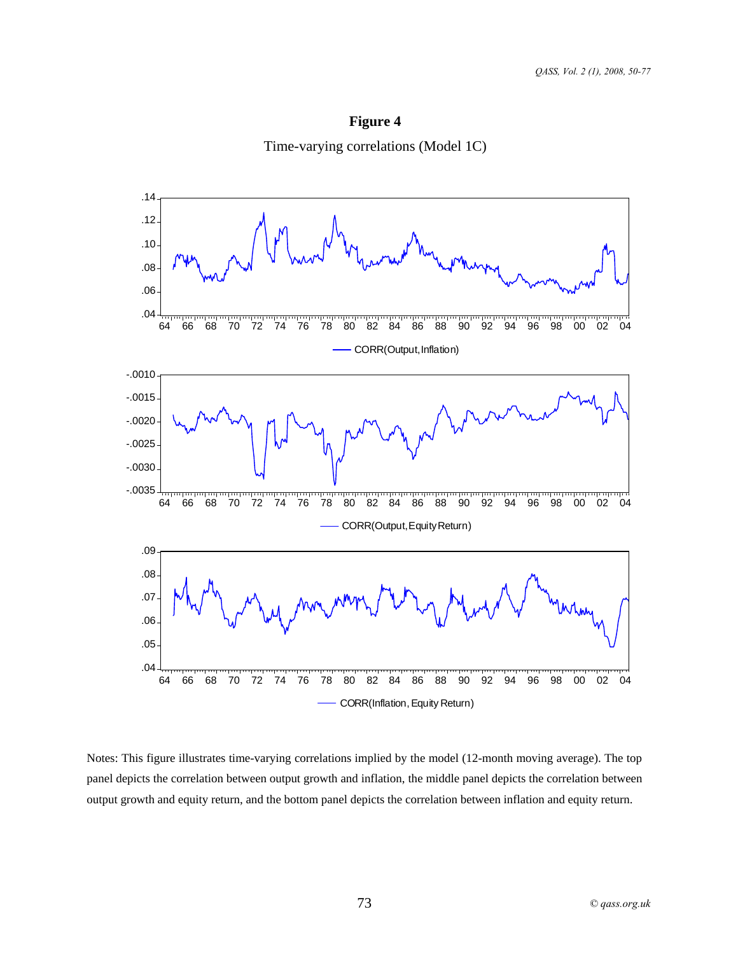





Notes: This figure illustrates time-varying correlations implied by the model (12-month moving average). The top panel depicts the correlation between output growth and inflation, the middle panel depicts the correlation between output growth and equity return, and the bottom panel depicts the correlation between inflation and equity return.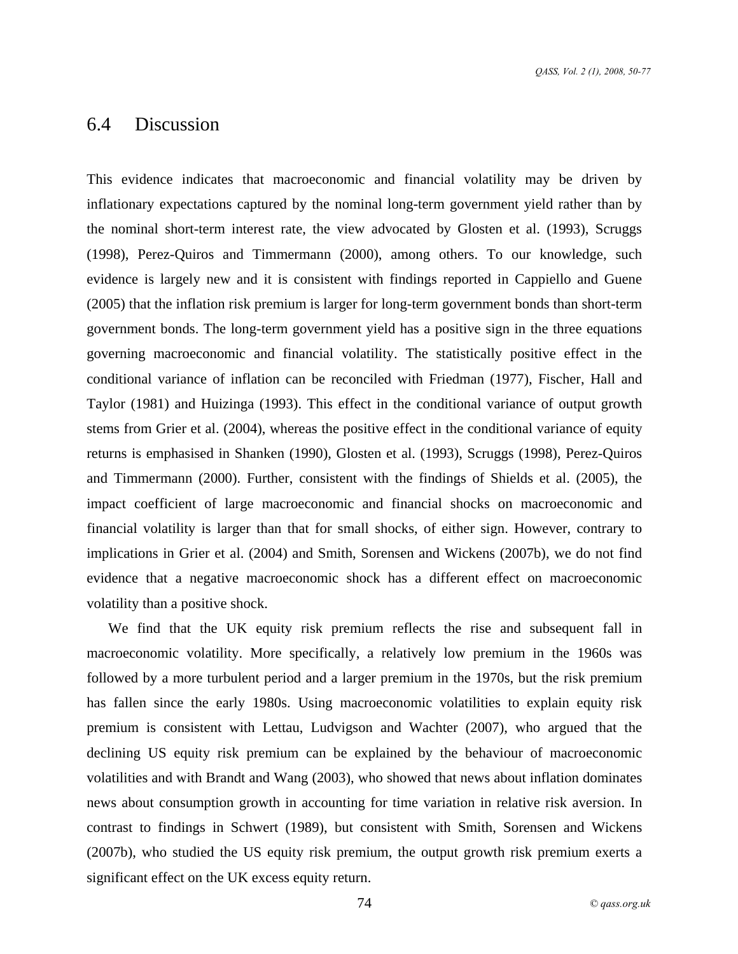#### 6.4 Discussion

This evidence indicates that macroeconomic and financial volatility may be driven by inflationary expectations captured by the nominal long-term government yield rather than by the nominal short-term interest rate, the view advocated by Glosten et al. (1993), Scruggs (1998), Perez-Quiros and Timmermann (2000), among others. To our knowledge, such evidence is largely new and it is consistent with findings reported in Cappiello and Guene (2005) that the inflation risk premium is larger for long-term government bonds than short-term government bonds. The long-term government yield has a positive sign in the three equations governing macroeconomic and financial volatility. The statistically positive effect in the conditional variance of inflation can be reconciled with Friedman (1977), Fischer, Hall and Taylor (1981) and Huizinga (1993). This effect in the conditional variance of output growth stems from Grier et al. (2004), whereas the positive effect in the conditional variance of equity returns is emphasised in Shanken (1990), Glosten et al. (1993), Scruggs (1998), Perez-Quiros and Timmermann (2000). Further, consistent with the findings of Shields et al. (2005), the impact coefficient of large macroeconomic and financial shocks on macroeconomic and financial volatility is larger than that for small shocks, of either sign. However, contrary to implications in Grier et al. (2004) and Smith, Sorensen and Wickens (2007b), we do not find evidence that a negative macroeconomic shock has a different effect on macroeconomic volatility than a positive shock.

We find that the UK equity risk premium reflects the rise and subsequent fall in macroeconomic volatility. More specifically, a relatively low premium in the 1960s was followed by a more turbulent period and a larger premium in the 1970s, but the risk premium has fallen since the early 1980s. Using macroeconomic volatilities to explain equity risk premium is consistent with Lettau, Ludvigson and Wachter (2007), who argued that the declining US equity risk premium can be explained by the behaviour of macroeconomic volatilities and with Brandt and Wang (2003), who showed that news about inflation dominates news about consumption growth in accounting for time variation in relative risk aversion. In contrast to findings in Schwert (1989), but consistent with Smith, Sorensen and Wickens (2007b), who studied the US equity risk premium, the output growth risk premium exerts a significant effect on the UK excess equity return.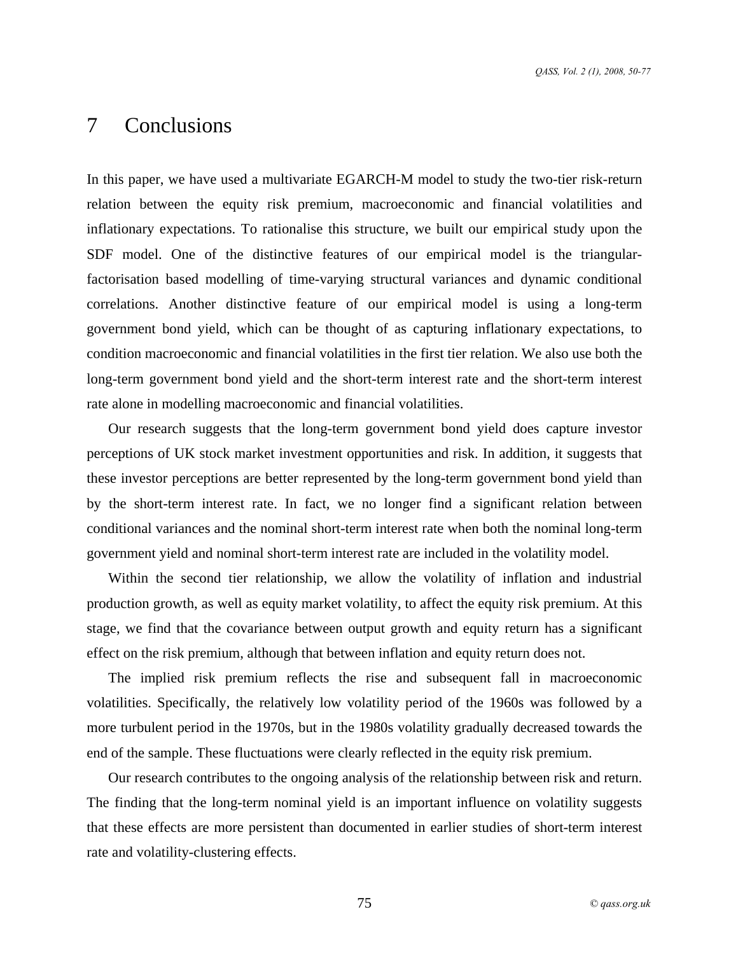## 7 Conclusions

In this paper, we have used a multivariate EGARCH-M model to study the two-tier risk-return relation between the equity risk premium, macroeconomic and financial volatilities and inflationary expectations. To rationalise this structure, we built our empirical study upon the SDF model. One of the distinctive features of our empirical model is the triangularfactorisation based modelling of time-varying structural variances and dynamic conditional correlations. Another distinctive feature of our empirical model is using a long-term government bond yield, which can be thought of as capturing inflationary expectations, to condition macroeconomic and financial volatilities in the first tier relation. We also use both the long-term government bond yield and the short-term interest rate and the short-term interest rate alone in modelling macroeconomic and financial volatilities.

Our research suggests that the long-term government bond yield does capture investor perceptions of UK stock market investment opportunities and risk. In addition, it suggests that these investor perceptions are better represented by the long-term government bond yield than by the short-term interest rate. In fact, we no longer find a significant relation between conditional variances and the nominal short-term interest rate when both the nominal long-term government yield and nominal short-term interest rate are included in the volatility model.

Within the second tier relationship, we allow the volatility of inflation and industrial production growth, as well as equity market volatility, to affect the equity risk premium. At this stage, we find that the covariance between output growth and equity return has a significant effect on the risk premium, although that between inflation and equity return does not.

The implied risk premium reflects the rise and subsequent fall in macroeconomic volatilities. Specifically, the relatively low volatility period of the 1960s was followed by a more turbulent period in the 1970s, but in the 1980s volatility gradually decreased towards the end of the sample. These fluctuations were clearly reflected in the equity risk premium.

Our research contributes to the ongoing analysis of the relationship between risk and return. The finding that the long-term nominal yield is an important influence on volatility suggests that these effects are more persistent than documented in earlier studies of short-term interest rate and volatility-clustering effects.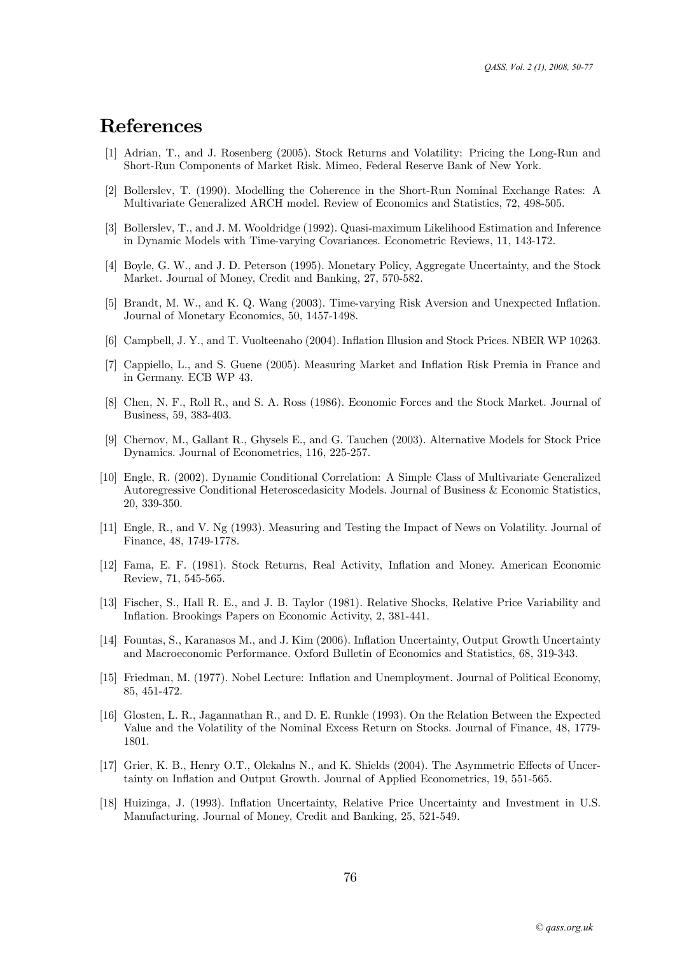### References

- [1] Adrian, T., and J. Rosenberg (2005). Stock Returns and Volatility: Pricing the Long-Run and Short-Run Components of Market Risk. Mimeo, Federal Reserve Bank of New York.
- [2] Bollerslev, T. (1990). Modelling the Coherence in the Short-Run Nominal Exchange Rates: A Multivariate Generalized ARCH model. Review of Economics and Statistics, 72, 498-505.
- [3] Bollerslev, T., and J. M. Wooldridge (1992). Quasi-maximum Likelihood Estimation and Inference in Dynamic Models with Time-varying Covariances. Econometric Reviews, 11, 143-172.
- [4] Boyle, G. W., and J. D. Peterson (1995). Monetary Policy, Aggregate Uncertainty, and the Stock Market. Journal of Money, Credit and Banking, 27, 570-582.
- [5] Brandt, M. W., and K. Q. Wang (2003). Time-varying Risk Aversion and Unexpected Inflation. Journal of Monetary Economics, 50, 1457-1498.
- [6] Campbell, J. Y., and T. Vuolteenaho (2004). Inflation Illusion and Stock Prices. NBER WP 10263.
- [7] Cappiello, L., and S. Guene (2005). Measuring Market and Inflation Risk Premia in France and in Germany. ECB WP 43.
- [8] Chen, N. F., Roll R., and S. A. Ross (1986). Economic Forces and the Stock Market. Journal of Business, 59, 383-403.
- [9] Chernov, M., Gallant R., Ghysels E., and G. Tauchen (2003). Alternative Models for Stock Price Dynamics. Journal of Econometrics, 116, 225-257.
- [10] Engle, R. (2002). Dynamic Conditional Correlation: A Simple Class of Multivariate Generalized Autoregressive Conditional Heteroscedasicity Models. Journal of Business & Economic Statistics, 20, 339-350.
- [11] Engle, R., and V. Ng (1993). Measuring and Testing the Impact of News on Volatility. Journal of Finance, 48, 1749-1778.
- [12] Fama, E. F. (1981). Stock Returns, Real Activity, Inflation and Money. American Economic Review, 71, 545-565.
- [13] Fischer, S., Hall R. E., and J. B. Taylor (1981). Relative Shocks, Relative Price Variability and Inflation. Brookings Papers on Economic Activity, 2, 381-441.
- [14] Fountas, S., Karanasos M., and J. Kim (2006). Inflation Uncertainty, Output Growth Uncertainty and Macroeconomic Performance. Oxford Bulletin of Economics and Statistics, 68, 319-343.
- [15] Friedman, M. (1977). Nobel Lecture: Inflation and Unemployment. Journal of Political Economy, 85, 451-472.
- [16] Glosten, L. R., Jagannathan R., and D. E. Runkle (1993). On the Relation Between the Expected Value and the Volatility of the Nominal Excess Return on Stocks. Journal of Finance, 48, 1779- 1801.
- [17] Grier, K. B., Henry O.T., Olekalns N., and K. Shields (2004). The Asymmetric Effects of Uncertainty on Inflation and Output Growth. Journal of Applied Econometrics, 19, 551-565.
- [18] Huizinga, J. (1993). Inflation Uncertainty, Relative Price Uncertainty and Investment in U.S. Manufacturing. Journal of Money, Credit and Banking, 25, 521-549.